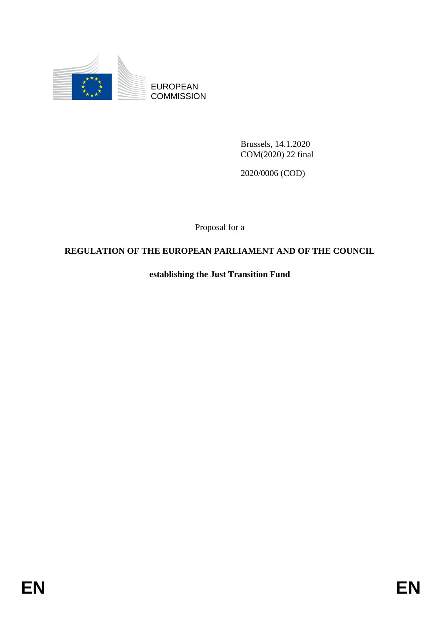

EUROPEAN **COMMISSION** 

> Brussels, 14.1.2020 COM(2020) 22 final

2020/0006 (COD)

Proposal for a

# **REGULATION OF THE EUROPEAN PARLIAMENT AND OF THE COUNCIL**

**establishing the Just Transition Fund**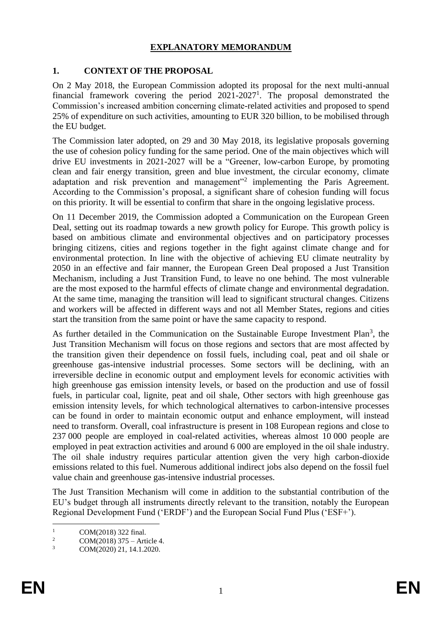## **EXPLANATORY MEMORANDUM**

## **1. CONTEXT OF THE PROPOSAL**

On 2 May 2018, the European Commission adopted its proposal for the next multi-annual financial framework covering the period  $2021-2027<sup>1</sup>$ . The proposal demonstrated the Commission's increased ambition concerning climate-related activities and proposed to spend 25% of expenditure on such activities, amounting to EUR 320 billion, to be mobilised through the EU budget.

The Commission later adopted, on 29 and 30 May 2018, its legislative proposals governing the use of cohesion policy funding for the same period. One of the main objectives which will drive EU investments in 2021-2027 will be a "Greener, low-carbon Europe, by promoting clean and fair energy transition, green and blue investment, the circular economy, climate adaptation and risk prevention and management"<sup>2</sup> implementing the Paris Agreement. According to the Commission's proposal, a significant share of cohesion funding will focus on this priority. It will be essential to confirm that share in the ongoing legislative process.

On 11 December 2019, the Commission adopted a Communication on the European Green Deal, setting out its roadmap towards a new growth policy for Europe. This growth policy is based on ambitious climate and environmental objectives and on participatory processes bringing citizens, cities and regions together in the fight against climate change and for environmental protection. In line with the objective of achieving EU climate neutrality by 2050 in an effective and fair manner, the European Green Deal proposed a Just Transition Mechanism, including a Just Transition Fund, to leave no one behind. The most vulnerable are the most exposed to the harmful effects of climate change and environmental degradation. At the same time, managing the transition will lead to significant structural changes. Citizens and workers will be affected in different ways and not all Member States, regions and cities start the transition from the same point or have the same capacity to respond.

As further detailed in the Communication on the Sustainable Europe Investment Plan<sup>3</sup>, the Just Transition Mechanism will focus on those regions and sectors that are most affected by the transition given their dependence on fossil fuels, including coal, peat and oil shale or greenhouse gas-intensive industrial processes. Some sectors will be declining, with an irreversible decline in economic output and employment levels for economic activities with high greenhouse gas emission intensity levels, or based on the production and use of fossil fuels, in particular coal, lignite, peat and oil shale, Other sectors with high greenhouse gas emission intensity levels, for which technological alternatives to carbon-intensive processes can be found in order to maintain economic output and enhance employment, will instead need to transform. Overall, coal infrastructure is present in 108 European regions and close to 237 000 people are employed in coal-related activities, whereas almost 10 000 people are employed in peat extraction activities and around 6 000 are employed in the oil shale industry. The oil shale industry requires particular attention given the very high carbon-dioxide emissions related to this fuel. Numerous additional indirect jobs also depend on the fossil fuel value chain and greenhouse gas-intensive industrial processes.

The Just Transition Mechanism will come in addition to the substantial contribution of the EU's budget through all instruments directly relevant to the transition, notably the European Regional Development Fund ('ERDF') and the European Social Fund Plus ('ESF+').

 $\mathbf{1}$  $^{1}$  COM(2018) 322 final.

<sup>&</sup>lt;sup>2</sup> COM(2018) 375 – Article 4.<br>
<sup>3</sup> COM(2020) 21, 14, 1, 2020.

COM(2020) 21, 14.1.2020.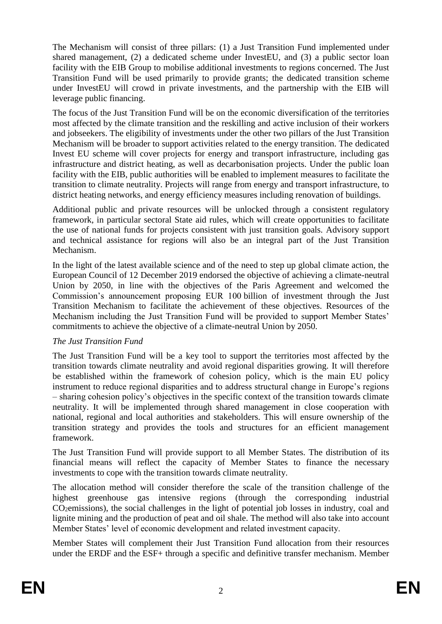The Mechanism will consist of three pillars: (1) a Just Transition Fund implemented under shared management, (2) a dedicated scheme under InvestEU, and (3) a public sector loan facility with the EIB Group to mobilise additional investments to regions concerned. The Just Transition Fund will be used primarily to provide grants; the dedicated transition scheme under InvestEU will crowd in private investments, and the partnership with the EIB will leverage public financing.

The focus of the Just Transition Fund will be on the economic diversification of the territories most affected by the climate transition and the reskilling and active inclusion of their workers and jobseekers. The eligibility of investments under the other two pillars of the Just Transition Mechanism will be broader to support activities related to the energy transition. The dedicated Invest EU scheme will cover projects for energy and transport infrastructure, including gas infrastructure and district heating, as well as decarbonisation projects. Under the public loan facility with the EIB, public authorities will be enabled to implement measures to facilitate the transition to climate neutrality. Projects will range from energy and transport infrastructure, to district heating networks, and energy efficiency measures including renovation of buildings.

Additional public and private resources will be unlocked through a consistent regulatory framework, in particular sectoral State aid rules, which will create opportunities to facilitate the use of national funds for projects consistent with just transition goals. Advisory support and technical assistance for regions will also be an integral part of the Just Transition Mechanism.

In the light of the latest available science and of the need to step up global climate action, the European Council of 12 December 2019 endorsed the objective of achieving a climate-neutral Union by 2050, in line with the objectives of the Paris Agreement and welcomed the Commission's announcement proposing EUR 100 billion of investment through the Just Transition Mechanism to facilitate the achievement of these objectives. Resources of the Mechanism including the Just Transition Fund will be provided to support Member States' commitments to achieve the objective of a climate-neutral Union by 2050.

## *The Just Transition Fund*

The Just Transition Fund will be a key tool to support the territories most affected by the transition towards climate neutrality and avoid regional disparities growing. It will therefore be established within the framework of cohesion policy, which is the main EU policy instrument to reduce regional disparities and to address structural change in Europe's regions – sharing cohesion policy's objectives in the specific context of the transition towards climate neutrality. It will be implemented through shared management in close cooperation with national, regional and local authorities and stakeholders. This will ensure ownership of the transition strategy and provides the tools and structures for an efficient management framework.

The Just Transition Fund will provide support to all Member States. The distribution of its financial means will reflect the capacity of Member States to finance the necessary investments to cope with the transition towards climate neutrality.

The allocation method will consider therefore the scale of the transition challenge of the highest greenhouse gas intensive regions (through the corresponding industrial CO2emissions), the social challenges in the light of potential job losses in industry, coal and lignite mining and the production of peat and oil shale. The method will also take into account Member States' level of economic development and related investment capacity.

Member States will complement their Just Transition Fund allocation from their resources under the ERDF and the ESF+ through a specific and definitive transfer mechanism. Member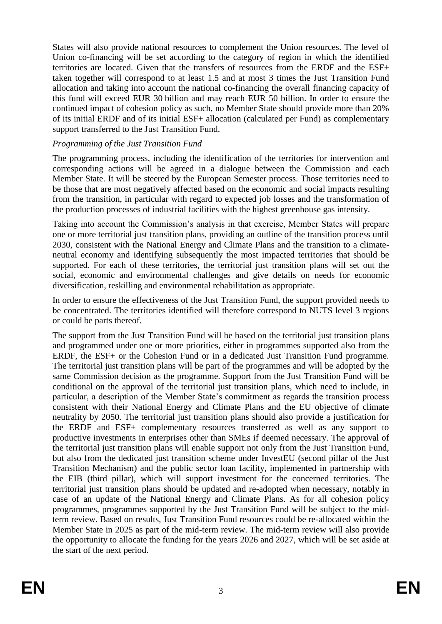States will also provide national resources to complement the Union resources. The level of Union co-financing will be set according to the category of region in which the identified territories are located. Given that the transfers of resources from the ERDF and the ESF+ taken together will correspond to at least 1.5 and at most 3 times the Just Transition Fund allocation and taking into account the national co-financing the overall financing capacity of this fund will exceed EUR 30 billion and may reach EUR 50 billion. In order to ensure the continued impact of cohesion policy as such, no Member State should provide more than 20% of its initial ERDF and of its initial ESF+ allocation (calculated per Fund) as complementary support transferred to the Just Transition Fund.

### *Programming of the Just Transition Fund*

The programming process, including the identification of the territories for intervention and corresponding actions will be agreed in a dialogue between the Commission and each Member State. It will be steered by the European Semester process. Those territories need to be those that are most negatively affected based on the economic and social impacts resulting from the transition, in particular with regard to expected job losses and the transformation of the production processes of industrial facilities with the highest greenhouse gas intensity.

Taking into account the Commission's analysis in that exercise, Member States will prepare one or more territorial just transition plans, providing an outline of the transition process until 2030, consistent with the National Energy and Climate Plans and the transition to a climateneutral economy and identifying subsequently the most impacted territories that should be supported. For each of these territories, the territorial just transition plans will set out the social, economic and environmental challenges and give details on needs for economic diversification, reskilling and environmental rehabilitation as appropriate.

In order to ensure the effectiveness of the Just Transition Fund, the support provided needs to be concentrated. The territories identified will therefore correspond to NUTS level 3 regions or could be parts thereof.

The support from the Just Transition Fund will be based on the territorial just transition plans and programmed under one or more priorities, either in programmes supported also from the ERDF, the ESF+ or the Cohesion Fund or in a dedicated Just Transition Fund programme. The territorial just transition plans will be part of the programmes and will be adopted by the same Commission decision as the programme. Support from the Just Transition Fund will be conditional on the approval of the territorial just transition plans, which need to include, in particular, a description of the Member State's commitment as regards the transition process consistent with their National Energy and Climate Plans and the EU objective of climate neutrality by 2050. The territorial just transition plans should also provide a justification for the ERDF and ESF+ complementary resources transferred as well as any support to productive investments in enterprises other than SMEs if deemed necessary. The approval of the territorial just transition plans will enable support not only from the Just Transition Fund, but also from the dedicated just transition scheme under InvestEU (second pillar of the Just Transition Mechanism) and the public sector loan facility, implemented in partnership with the EIB (third pillar), which will support investment for the concerned territories. The territorial just transition plans should be updated and re-adopted when necessary, notably in case of an update of the National Energy and Climate Plans. As for all cohesion policy programmes, programmes supported by the Just Transition Fund will be subject to the midterm review. Based on results, Just Transition Fund resources could be re-allocated within the Member State in 2025 as part of the mid-term review. The mid-term review will also provide the opportunity to allocate the funding for the years 2026 and 2027, which will be set aside at the start of the next period.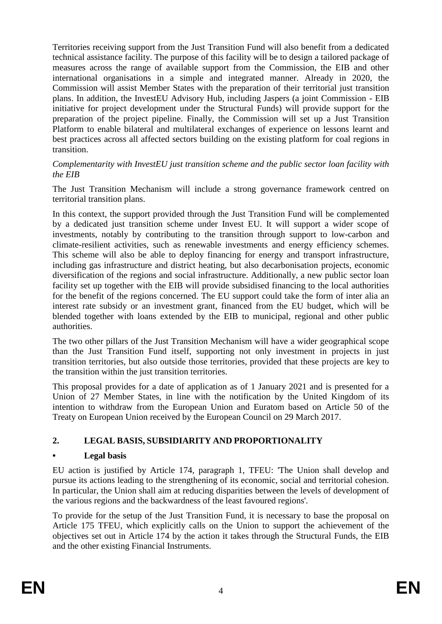Territories receiving support from the Just Transition Fund will also benefit from a dedicated technical assistance facility. The purpose of this facility will be to design a tailored package of measures across the range of available support from the Commission, the EIB and other international organisations in a simple and integrated manner. Already in 2020, the Commission will assist Member States with the preparation of their territorial just transition plans. In addition, the InvestEU Advisory Hub, including Jaspers (a joint Commission - EIB initiative for project development under the Structural Funds) will provide support for the preparation of the project pipeline. Finally, the Commission will set up a Just Transition Platform to enable bilateral and multilateral exchanges of experience on lessons learnt and best practices across all affected sectors building on the existing platform for coal regions in transition.

#### *Complementarity with InvestEU just transition scheme and the public sector loan facility with the EIB*

The Just Transition Mechanism will include a strong governance framework centred on territorial transition plans.

In this context, the support provided through the Just Transition Fund will be complemented by a dedicated just transition scheme under Invest EU. It will support a wider scope of investments, notably by contributing to the transition through support to low-carbon and climate-resilient activities, such as renewable investments and energy efficiency schemes. This scheme will also be able to deploy financing for energy and transport infrastructure, including gas infrastructure and district heating, but also decarbonisation projects, economic diversification of the regions and social infrastructure. Additionally, a new public sector loan facility set up together with the EIB will provide subsidised financing to the local authorities for the benefit of the regions concerned. The EU support could take the form of inter alia an interest rate subsidy or an investment grant, financed from the EU budget, which will be blended together with loans extended by the EIB to municipal, regional and other public authorities.

The two other pillars of the Just Transition Mechanism will have a wider geographical scope than the Just Transition Fund itself, supporting not only investment in projects in just transition territories, but also outside those territories, provided that these projects are key to the transition within the just transition territories.

This proposal provides for a date of application as of 1 January 2021 and is presented for a Union of 27 Member States, in line with the notification by the United Kingdom of its intention to withdraw from the European Union and Euratom based on Article 50 of the Treaty on European Union received by the European Council on 29 March 2017.

## **2. LEGAL BASIS, SUBSIDIARITY AND PROPORTIONALITY**

## **• Legal basis**

EU action is justified by Article 174, paragraph 1, TFEU: 'The Union shall develop and pursue its actions leading to the strengthening of its economic, social and territorial cohesion. In particular, the Union shall aim at reducing disparities between the levels of development of the various regions and the backwardness of the least favoured regions'.

To provide for the setup of the Just Transition Fund, it is necessary to base the proposal on Article 175 TFEU, which explicitly calls on the Union to support the achievement of the objectives set out in Article 174 by the action it takes through the Structural Funds, the EIB and the other existing Financial Instruments.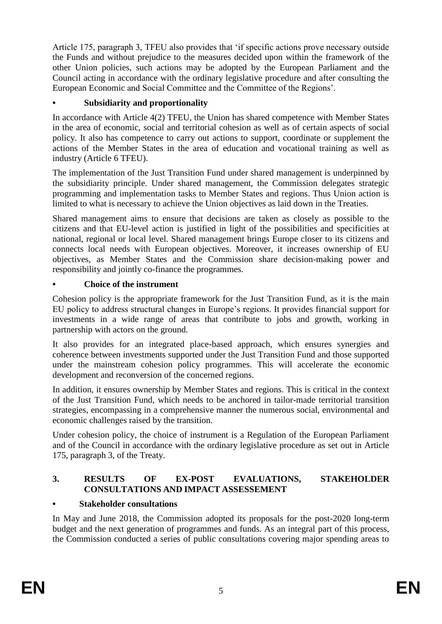Article 175, paragraph 3, TFEU also provides that 'if specific actions prove necessary outside the Funds and without prejudice to the measures decided upon within the framework of the other Union policies, such actions may be adopted by the European Parliament and the Council acting in accordance with the ordinary legislative procedure and after consulting the European Economic and Social Committee and the Committee of the Regions'.

## **• Subsidiarity and proportionality**

In accordance with Article 4(2) TFEU, the Union has shared competence with Member States in the area of economic, social and territorial cohesion as well as of certain aspects of social policy. It also has competence to carry out actions to support, coordinate or supplement the actions of the Member States in the area of education and vocational training as well as industry (Article 6 TFEU).

The implementation of the Just Transition Fund under shared management is underpinned by the subsidiarity principle. Under shared management, the Commission delegates strategic programming and implementation tasks to Member States and regions. Thus Union action is limited to what is necessary to achieve the Union objectives as laid down in the Treaties.

Shared management aims to ensure that decisions are taken as closely as possible to the citizens and that EU-level action is justified in light of the possibilities and specificities at national, regional or local level. Shared management brings Europe closer to its citizens and connects local needs with European objectives. Moreover, it increases ownership of EU objectives, as Member States and the Commission share decision-making power and responsibility and jointly co-finance the programmes.

## **• Choice of the instrument**

Cohesion policy is the appropriate framework for the Just Transition Fund, as it is the main EU policy to address structural changes in Europe's regions. It provides financial support for investments in a wide range of areas that contribute to jobs and growth, working in partnership with actors on the ground.

It also provides for an integrated place-based approach, which ensures synergies and coherence between investments supported under the Just Transition Fund and those supported under the mainstream cohesion policy programmes. This will accelerate the economic development and reconversion of the concerned regions.

In addition, it ensures ownership by Member States and regions. This is critical in the context of the Just Transition Fund, which needs to be anchored in tailor-made territorial transition strategies, encompassing in a comprehensive manner the numerous social, environmental and economic challenges raised by the transition.

Under cohesion policy, the choice of instrument is a Regulation of the European Parliament and of the Council in accordance with the ordinary legislative procedure as set out in Article 175, paragraph 3, of the Treaty.

## **3. RESULTS OF EX-POST EVALUATIONS, STAKEHOLDER CONSULTATIONS AND IMPACT ASSESSEMENT**

## **• Stakeholder consultations**

In May and June 2018, the Commission adopted its proposals for the post-2020 long-term budget and the next generation of programmes and funds. As an integral part of this process, the Commission conducted a series of public consultations covering major spending areas to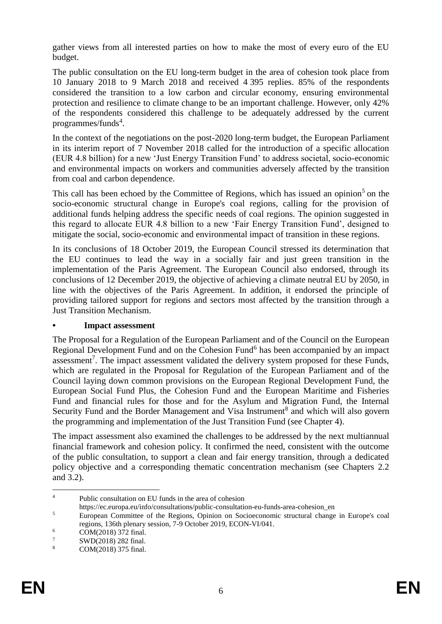gather views from all interested parties on how to make the most of every euro of the EU budget.

The public consultation on the EU long-term budget in the area of cohesion took place from 10 January 2018 to 9 March 2018 and received 4 395 replies. 85% of the respondents considered the transition to a low carbon and circular economy, ensuring environmental protection and resilience to climate change to be an important challenge. However, only 42% of the respondents considered this challenge to be adequately addressed by the current programmes/funds<sup>4</sup>.

In the context of the negotiations on the post-2020 long-term budget, the European Parliament in its interim report of 7 November 2018 called for the introduction of a specific allocation (EUR 4.8 billion) for a new 'Just Energy Transition Fund' to address societal, socio-economic and environmental impacts on workers and communities adversely affected by the transition from coal and carbon dependence.

This call has been echoed by the Committee of Regions, which has issued an opinion<sup>5</sup> on the socio-economic structural change in Europe's coal regions, calling for the provision of additional funds helping address the specific needs of coal regions. The opinion suggested in this regard to allocate EUR 4.8 billion to a new 'Fair Energy Transition Fund', designed to mitigate the social, socio-economic and environmental impact of transition in these regions.

In its conclusions of 18 October 2019, the European Council stressed its determination that the EU continues to lead the way in a socially fair and just green transition in the implementation of the Paris Agreement. The European Council also endorsed, through its conclusions of 12 December 2019, the objective of achieving a climate neutral EU by 2050, in line with the objectives of the Paris Agreement. In addition, it endorsed the principle of providing tailored support for regions and sectors most affected by the transition through a Just Transition Mechanism.

#### **• Impact assessment**

The Proposal for a Regulation of the European Parliament and of the Council on the European Regional Development Fund and on the Cohesion Fund<sup>6</sup> has been accompanied by an impact assessment<sup>7</sup>. The impact assessment validated the delivery system proposed for these Funds, which are regulated in the Proposal for Regulation of the European Parliament and of the Council laying down common provisions on the European Regional Development Fund, the European Social Fund Plus, the Cohesion Fund and the European Maritime and Fisheries Fund and financial rules for those and for the Asylum and Migration Fund, the Internal Security Fund and the Border Management and Visa Instrument<sup>8</sup> and which will also govern the programming and implementation of the Just Transition Fund (see Chapter 4).

The impact assessment also examined the challenges to be addressed by the next multiannual financial framework and cohesion policy. It confirmed the need, consistent with the outcome of the public consultation, to support a clean and fair energy transition, through a dedicated policy objective and a corresponding thematic concentration mechanism (see Chapters 2.2 and 3.2).

<sup>&</sup>lt;u>.</u> <sup>4</sup> Public consultation on EU funds in the area of cohesion

https://ec.europa.eu/info/consultations/public-consultation-eu-funds-area-cohesion\_en

<sup>&</sup>lt;sup>5</sup> European Committee of the Regions, Opinion on Socioeconomic structural change in Europe's coal regions, 136th plenary session, 7-9 October 2019, ECON-VI/041.

 $\frac{6}{7}$  COM(2018) 372 final.

 $\frac{7}{8}$  SWD(2018) 282 final.

COM(2018) 375 final.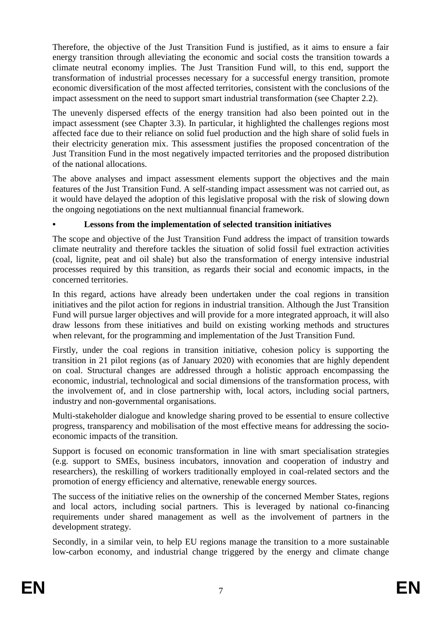Therefore, the objective of the Just Transition Fund is justified, as it aims to ensure a fair energy transition through alleviating the economic and social costs the transition towards a climate neutral economy implies. The Just Transition Fund will, to this end, support the transformation of industrial processes necessary for a successful energy transition, promote economic diversification of the most affected territories, consistent with the conclusions of the impact assessment on the need to support smart industrial transformation (see Chapter 2.2).

The unevenly dispersed effects of the energy transition had also been pointed out in the impact assessment (see Chapter 3.3). In particular, it highlighted the challenges regions most affected face due to their reliance on solid fuel production and the high share of solid fuels in their electricity generation mix. This assessment justifies the proposed concentration of the Just Transition Fund in the most negatively impacted territories and the proposed distribution of the national allocations.

The above analyses and impact assessment elements support the objectives and the main features of the Just Transition Fund. A self-standing impact assessment was not carried out, as it would have delayed the adoption of this legislative proposal with the risk of slowing down the ongoing negotiations on the next multiannual financial framework.

## **• Lessons from the implementation of selected transition initiatives**

The scope and objective of the Just Transition Fund address the impact of transition towards climate neutrality and therefore tackles the situation of solid fossil fuel extraction activities (coal, lignite, peat and oil shale) but also the transformation of energy intensive industrial processes required by this transition, as regards their social and economic impacts, in the concerned territories.

In this regard, actions have already been undertaken under the coal regions in transition initiatives and the pilot action for regions in industrial transition. Although the Just Transition Fund will pursue larger objectives and will provide for a more integrated approach, it will also draw lessons from these initiatives and build on existing working methods and structures when relevant, for the programming and implementation of the Just Transition Fund.

Firstly, under the coal regions in transition initiative, cohesion policy is supporting the transition in 21 pilot regions (as of January 2020) with economies that are highly dependent on coal. Structural changes are addressed through a holistic approach encompassing the economic, industrial, technological and social dimensions of the transformation process, with the involvement of, and in close partnership with, local actors, including social partners, industry and non-governmental organisations.

Multi-stakeholder dialogue and knowledge sharing proved to be essential to ensure collective progress, transparency and mobilisation of the most effective means for addressing the socioeconomic impacts of the transition.

Support is focused on economic transformation in line with smart specialisation strategies (e.g. support to SMEs, business incubators, innovation and cooperation of industry and researchers), the reskilling of workers traditionally employed in coal-related sectors and the promotion of energy efficiency and alternative, renewable energy sources.

The success of the initiative relies on the ownership of the concerned Member States, regions and local actors, including social partners. This is leveraged by national co-financing requirements under shared management as well as the involvement of partners in the development strategy.

Secondly, in a similar vein, to help EU regions manage the transition to a more sustainable low-carbon economy, and industrial change triggered by the energy and climate change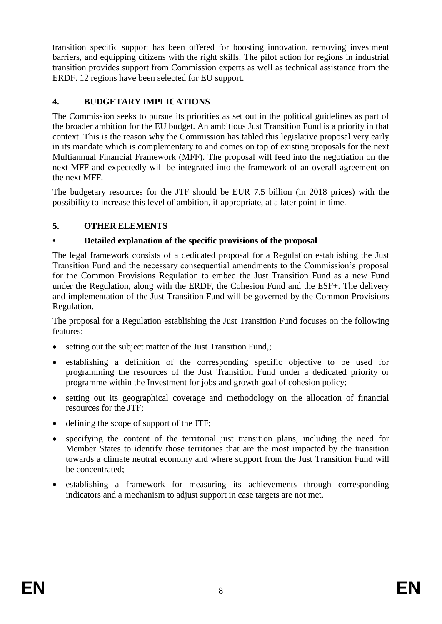transition specific support has been offered for boosting innovation, removing investment barriers, and equipping citizens with the right skills. The pilot action for regions in industrial transition provides support from Commission experts as well as technical assistance from the ERDF. 12 regions have been selected for EU support.

## **4. BUDGETARY IMPLICATIONS**

The Commission seeks to pursue its priorities as set out in the political guidelines as part of the broader ambition for the EU budget. An ambitious Just Transition Fund is a priority in that context. This is the reason why the Commission has tabled this legislative proposal very early in its mandate which is complementary to and comes on top of existing proposals for the next Multiannual Financial Framework (MFF). The proposal will feed into the negotiation on the next MFF and expectedly will be integrated into the framework of an overall agreement on the next MFF.

The budgetary resources for the JTF should be EUR 7.5 billion (in 2018 prices) with the possibility to increase this level of ambition, if appropriate, at a later point in time.

## **5. OTHER ELEMENTS**

## **• Detailed explanation of the specific provisions of the proposal**

The legal framework consists of a dedicated proposal for a Regulation establishing the Just Transition Fund and the necessary consequential amendments to the Commission's proposal for the Common Provisions Regulation to embed the Just Transition Fund as a new Fund under the Regulation, along with the ERDF, the Cohesion Fund and the ESF+. The delivery and implementation of the Just Transition Fund will be governed by the Common Provisions Regulation.

The proposal for a Regulation establishing the Just Transition Fund focuses on the following features:

- setting out the subject matter of the Just Transition Fund,;
- establishing a definition of the corresponding specific objective to be used for programming the resources of the Just Transition Fund under a dedicated priority or programme within the Investment for jobs and growth goal of cohesion policy;
- setting out its geographical coverage and methodology on the allocation of financial resources for the JTF;
- defining the scope of support of the JTF;
- specifying the content of the territorial just transition plans, including the need for Member States to identify those territories that are the most impacted by the transition towards a climate neutral economy and where support from the Just Transition Fund will be concentrated;
- establishing a framework for measuring its achievements through corresponding indicators and a mechanism to adjust support in case targets are not met.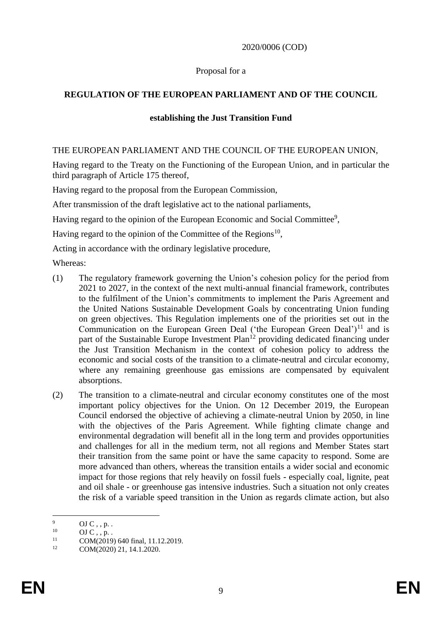#### 2020/0006 (COD)

#### Proposal for a

## **REGULATION OF THE EUROPEAN PARLIAMENT AND OF THE COUNCIL**

#### **establishing the Just Transition Fund**

#### THE EUROPEAN PARLIAMENT AND THE COUNCIL OF THE EUROPEAN UNION,

Having regard to the Treaty on the Functioning of the European Union, and in particular the third paragraph of Article 175 thereof,

Having regard to the proposal from the European Commission,

After transmission of the draft legislative act to the national parliaments,

Having regard to the opinion of the European Economic and Social Committee<sup>9</sup>,

Having regard to the opinion of the Committee of the Regions<sup>10</sup>,

Acting in accordance with the ordinary legislative procedure,

Whereas:

- (1) The regulatory framework governing the Union's cohesion policy for the period from 2021 to 2027, in the context of the next multi-annual financial framework, contributes to the fulfilment of the Union's commitments to implement the Paris Agreement and the United Nations Sustainable Development Goals by concentrating Union funding on green objectives. This Regulation implements one of the priorities set out in the Communication on the European Green Deal ('the European Green Deal')<sup>11</sup> and is part of the Sustainable Europe Investment Plan<sup>12</sup> providing dedicated financing under the Just Transition Mechanism in the context of cohesion policy to address the economic and social costs of the transition to a climate-neutral and circular economy, where any remaining greenhouse gas emissions are compensated by equivalent absorptions.
- (2) The transition to a climate-neutral and circular economy constitutes one of the most important policy objectives for the Union. On 12 December 2019, the European Council endorsed the objective of achieving a climate-neutral Union by 2050, in line with the objectives of the Paris Agreement. While fighting climate change and environmental degradation will benefit all in the long term and provides opportunities and challenges for all in the medium term, not all regions and Member States start their transition from the same point or have the same capacity to respond. Some are more advanced than others, whereas the transition entails a wider social and economic impact for those regions that rely heavily on fossil fuels - especially coal, lignite, peat and oil shale - or greenhouse gas intensive industries. Such a situation not only creates the risk of a variable speed transition in the Union as regards climate action, but also

 $\overline{Q}$  $^{9}$  OJ C, , p. .

 $^{10}$  OJ C, , p. .

 $11$  COM(2019) 640 final, 11.12.2019.

COM(2020) 21, 14.1.2020.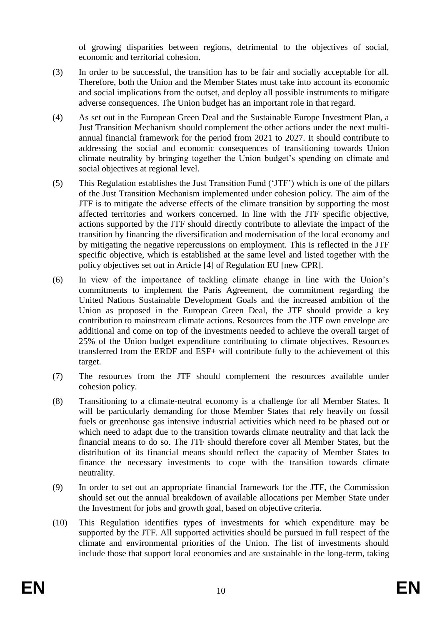of growing disparities between regions, detrimental to the objectives of social, economic and territorial cohesion.

- (3) In order to be successful, the transition has to be fair and socially acceptable for all. Therefore, both the Union and the Member States must take into account its economic and social implications from the outset, and deploy all possible instruments to mitigate adverse consequences. The Union budget has an important role in that regard.
- (4) As set out in the European Green Deal and the Sustainable Europe Investment Plan, a Just Transition Mechanism should complement the other actions under the next multiannual financial framework for the period from 2021 to 2027. It should contribute to addressing the social and economic consequences of transitioning towards Union climate neutrality by bringing together the Union budget's spending on climate and social objectives at regional level.
- (5) This Regulation establishes the Just Transition Fund ('JTF') which is one of the pillars of the Just Transition Mechanism implemented under cohesion policy. The aim of the JTF is to mitigate the adverse effects of the climate transition by supporting the most affected territories and workers concerned. In line with the JTF specific objective, actions supported by the JTF should directly contribute to alleviate the impact of the transition by financing the diversification and modernisation of the local economy and by mitigating the negative repercussions on employment. This is reflected in the JTF specific objective, which is established at the same level and listed together with the policy objectives set out in Article [4] of Regulation EU [new CPR].
- (6) In view of the importance of tackling climate change in line with the Union's commitments to implement the Paris Agreement, the commitment regarding the United Nations Sustainable Development Goals and the increased ambition of the Union as proposed in the European Green Deal, the JTF should provide a key contribution to mainstream climate actions. Resources from the JTF own envelope are additional and come on top of the investments needed to achieve the overall target of 25% of the Union budget expenditure contributing to climate objectives. Resources transferred from the ERDF and ESF+ will contribute fully to the achievement of this target.
- (7) The resources from the JTF should complement the resources available under cohesion policy.
- (8) Transitioning to a climate-neutral economy is a challenge for all Member States. It will be particularly demanding for those Member States that rely heavily on fossil fuels or greenhouse gas intensive industrial activities which need to be phased out or which need to adapt due to the transition towards climate neutrality and that lack the financial means to do so. The JTF should therefore cover all Member States, but the distribution of its financial means should reflect the capacity of Member States to finance the necessary investments to cope with the transition towards climate neutrality.
- (9) In order to set out an appropriate financial framework for the JTF, the Commission should set out the annual breakdown of available allocations per Member State under the Investment for jobs and growth goal, based on objective criteria.
- (10) This Regulation identifies types of investments for which expenditure may be supported by the JTF. All supported activities should be pursued in full respect of the climate and environmental priorities of the Union. The list of investments should include those that support local economies and are sustainable in the long-term, taking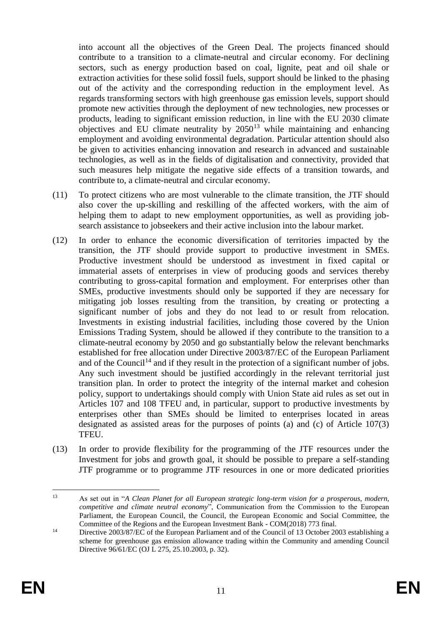into account all the objectives of the Green Deal. The projects financed should contribute to a transition to a climate-neutral and circular economy. For declining sectors, such as energy production based on coal, lignite, peat and oil shale or extraction activities for these solid fossil fuels, support should be linked to the phasing out of the activity and the corresponding reduction in the employment level. As regards transforming sectors with high greenhouse gas emission levels, support should promote new activities through the deployment of new technologies, new processes or products, leading to significant emission reduction, in line with the EU 2030 climate objectives and EU climate neutrality by  $2050^{13}$  while maintaining and enhancing employment and avoiding environmental degradation. Particular attention should also be given to activities enhancing innovation and research in advanced and sustainable technologies, as well as in the fields of digitalisation and connectivity, provided that such measures help mitigate the negative side effects of a transition towards, and contribute to, a climate-neutral and circular economy.

- (11) To protect citizens who are most vulnerable to the climate transition, the JTF should also cover the up-skilling and reskilling of the affected workers, with the aim of helping them to adapt to new employment opportunities, as well as providing jobsearch assistance to jobseekers and their active inclusion into the labour market.
- (12) In order to enhance the economic diversification of territories impacted by the transition, the JTF should provide support to productive investment in SMEs. Productive investment should be understood as investment in fixed capital or immaterial assets of enterprises in view of producing goods and services thereby contributing to gross-capital formation and employment. For enterprises other than SMEs, productive investments should only be supported if they are necessary for mitigating job losses resulting from the transition, by creating or protecting a significant number of jobs and they do not lead to or result from relocation. Investments in existing industrial facilities, including those covered by the Union Emissions Trading System, should be allowed if they contribute to the transition to a climate-neutral economy by 2050 and go substantially below the relevant benchmarks established for free allocation under Directive 2003/87/EC of the European Parliament and of the Council<sup>14</sup> and if they result in the protection of a significant number of jobs. Any such investment should be justified accordingly in the relevant territorial just transition plan. In order to protect the integrity of the internal market and cohesion policy, support to undertakings should comply with Union State aid rules as set out in Articles 107 and 108 TFEU and, in particular, support to productive investments by enterprises other than SMEs should be limited to enterprises located in areas designated as assisted areas for the purposes of points (a) and (c) of Article 107(3) TFEU.
- (13) In order to provide flexibility for the programming of the JTF resources under the Investment for jobs and growth goal, it should be possible to prepare a self-standing JTF programme or to programme JTF resources in one or more dedicated priorities

<sup>&</sup>lt;u>.</u> <sup>13</sup> As set out in "*A Clean Planet for all European strategic long-term vision for a prosperous, modern, competitive and climate neutral economy*", Communication from the Commission to the European Parliament, the European Council, the Council, the European Economic and Social Committee, the Committee of the Regions and the European Investment Bank - COM(2018) 773 final.

<sup>&</sup>lt;sup>14</sup> Directive 2003/87/EC of the European Parliament and of the Council of 13 October 2003 establishing a scheme for greenhouse gas emission allowance trading within the Community and amending Council Directive 96/61/EC (OJ L 275, 25.10.2003, p. 32).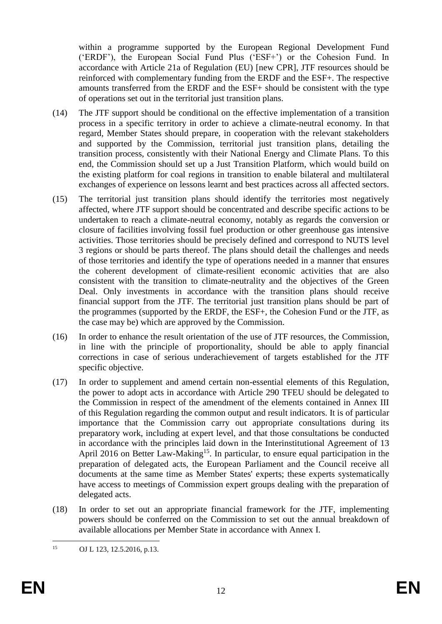within a programme supported by the European Regional Development Fund ('ERDF'), the European Social Fund Plus ('ESF+') or the Cohesion Fund. In accordance with Article 21a of Regulation (EU) [new CPR], JTF resources should be reinforced with complementary funding from the ERDF and the ESF+. The respective amounts transferred from the ERDF and the ESF+ should be consistent with the type of operations set out in the territorial just transition plans.

- (14) The JTF support should be conditional on the effective implementation of a transition process in a specific territory in order to achieve a climate-neutral economy. In that regard, Member States should prepare, in cooperation with the relevant stakeholders and supported by the Commission, territorial just transition plans, detailing the transition process, consistently with their National Energy and Climate Plans. To this end, the Commission should set up a Just Transition Platform, which would build on the existing platform for coal regions in transition to enable bilateral and multilateral exchanges of experience on lessons learnt and best practices across all affected sectors.
- (15) The territorial just transition plans should identify the territories most negatively affected, where JTF support should be concentrated and describe specific actions to be undertaken to reach a climate-neutral economy, notably as regards the conversion or closure of facilities involving fossil fuel production or other greenhouse gas intensive activities. Those territories should be precisely defined and correspond to NUTS level 3 regions or should be parts thereof. The plans should detail the challenges and needs of those territories and identify the type of operations needed in a manner that ensures the coherent development of climate-resilient economic activities that are also consistent with the transition to climate-neutrality and the objectives of the Green Deal. Only investments in accordance with the transition plans should receive financial support from the JTF. The territorial just transition plans should be part of the programmes (supported by the ERDF, the ESF+, the Cohesion Fund or the JTF, as the case may be) which are approved by the Commission.
- (16) In order to enhance the result orientation of the use of JTF resources, the Commission, in line with the principle of proportionality, should be able to apply financial corrections in case of serious underachievement of targets established for the JTF specific objective.
- (17) In order to supplement and amend certain non-essential elements of this Regulation, the power to adopt acts in accordance with Article 290 TFEU should be delegated to the Commission in respect of the amendment of the elements contained in Annex III of this Regulation regarding the common output and result indicators. It is of particular importance that the Commission carry out appropriate consultations during its preparatory work, including at expert level, and that those consultations be conducted in accordance with the principles laid down in the Interinstitutional Agreement of 13 April 2016 on Better Law-Making<sup>15</sup>. In particular, to ensure equal participation in the preparation of delegated acts, the European Parliament and the Council receive all documents at the same time as Member States' experts; these experts systematically have access to meetings of Commission expert groups dealing with the preparation of delegated acts.
- (18) In order to set out an appropriate financial framework for the JTF, implementing powers should be conferred on the Commission to set out the annual breakdown of available allocations per Member State in accordance with Annex I.

 $15$ OJ L 123, 12.5.2016, p.13.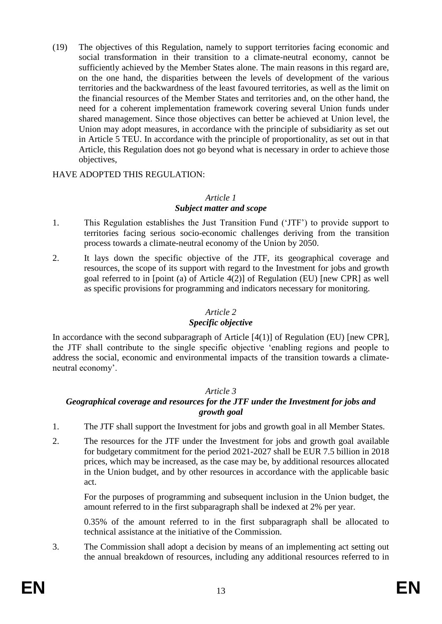(19) The objectives of this Regulation, namely to support territories facing economic and social transformation in their transition to a climate-neutral economy, cannot be sufficiently achieved by the Member States alone. The main reasons in this regard are, on the one hand, the disparities between the levels of development of the various territories and the backwardness of the least favoured territories, as well as the limit on the financial resources of the Member States and territories and, on the other hand, the need for a coherent implementation framework covering several Union funds under shared management. Since those objectives can better be achieved at Union level, the Union may adopt measures, in accordance with the principle of subsidiarity as set out in Article 5 TEU. In accordance with the principle of proportionality, as set out in that Article, this Regulation does not go beyond what is necessary in order to achieve those objectives,

HAVE ADOPTED THIS REGULATION:

#### *Article 1*

### *Subject matter and scope*

- 1. This Regulation establishes the Just Transition Fund ('JTF') to provide support to territories facing serious socio-economic challenges deriving from the transition process towards a climate-neutral economy of the Union by 2050.
- 2. It lays down the specific objective of the JTF, its geographical coverage and resources, the scope of its support with regard to the Investment for jobs and growth goal referred to in [point (a) of Article 4(2)] of Regulation (EU) [new CPR] as well as specific provisions for programming and indicators necessary for monitoring.

## *Article 2*

#### *Specific objective*

In accordance with the second subparagraph of Article [4(1)] of Regulation (EU) [new CPR], the JTF shall contribute to the single specific objective 'enabling regions and people to address the social, economic and environmental impacts of the transition towards a climateneutral economy'.

#### *Article 3*

## *Geographical coverage and resources for the JTF under the Investment for jobs and growth goal*

- 1. The JTF shall support the Investment for jobs and growth goal in all Member States.
- 2. The resources for the JTF under the Investment for jobs and growth goal available for budgetary commitment for the period 2021-2027 shall be EUR 7.5 billion in 2018 prices, which may be increased, as the case may be, by additional resources allocated in the Union budget, and by other resources in accordance with the applicable basic act.

For the purposes of programming and subsequent inclusion in the Union budget, the amount referred to in the first subparagraph shall be indexed at 2% per year.

0.35% of the amount referred to in the first subparagraph shall be allocated to technical assistance at the initiative of the Commission.

3. The Commission shall adopt a decision by means of an implementing act setting out the annual breakdown of resources, including any additional resources referred to in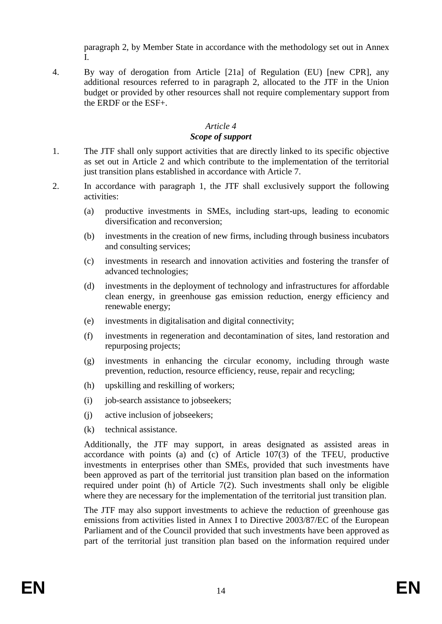paragraph 2, by Member State in accordance with the methodology set out in Annex I.

4. By way of derogation from Article [21a] of Regulation (EU) [new CPR], any additional resources referred to in paragraph 2, allocated to the JTF in the Union budget or provided by other resources shall not require complementary support from the ERDF or the ESF+.

#### *Article 4 Scope of support*

- 1. The JTF shall only support activities that are directly linked to its specific objective as set out in Article 2 and which contribute to the implementation of the territorial just transition plans established in accordance with Article 7.
- 2. In accordance with paragraph 1, the JTF shall exclusively support the following activities:
	- (a) productive investments in SMEs, including start-ups, leading to economic diversification and reconversion;
	- (b) investments in the creation of new firms, including through business incubators and consulting services;
	- (c) investments in research and innovation activities and fostering the transfer of advanced technologies;
	- (d) investments in the deployment of technology and infrastructures for affordable clean energy, in greenhouse gas emission reduction, energy efficiency and renewable energy;
	- (e) investments in digitalisation and digital connectivity;
	- (f) investments in regeneration and decontamination of sites, land restoration and repurposing projects;
	- (g) investments in enhancing the circular economy, including through waste prevention, reduction, resource efficiency, reuse, repair and recycling;
	- (h) upskilling and reskilling of workers;
	- (i) job-search assistance to jobseekers;
	- (j) active inclusion of jobseekers;
	- (k) technical assistance.

Additionally, the JTF may support, in areas designated as assisted areas in accordance with points (a) and (c) of Article 107(3) of the TFEU, productive investments in enterprises other than SMEs, provided that such investments have been approved as part of the territorial just transition plan based on the information required under point (h) of Article  $7(2)$ . Such investments shall only be eligible where they are necessary for the implementation of the territorial just transition plan.

The JTF may also support investments to achieve the reduction of greenhouse gas emissions from activities listed in Annex I to Directive 2003/87/EC of the European Parliament and of the Council provided that such investments have been approved as part of the territorial just transition plan based on the information required under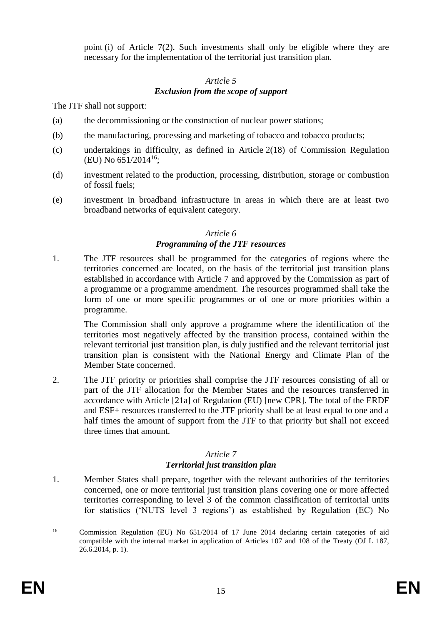point (i) of Article  $7(2)$ . Such investments shall only be eligible where they are necessary for the implementation of the territorial just transition plan.

### *Article 5 Exclusion from the scope of support*

The JTF shall not support:

- (a) the decommissioning or the construction of nuclear power stations;
- (b) the manufacturing, processing and marketing of tobacco and tobacco products;
- (c) undertakings in difficulty, as defined in Article 2(18) of Commission Regulation (EU) No 651/2014<sup>16</sup>;
- (d) investment related to the production, processing, distribution, storage or combustion of fossil fuels;
- (e) investment in broadband infrastructure in areas in which there are at least two broadband networks of equivalent category.

## *Article 6 Programming of the JTF resources*

1. The JTF resources shall be programmed for the categories of regions where the territories concerned are located, on the basis of the territorial just transition plans established in accordance with Article 7 and approved by the Commission as part of a programme or a programme amendment. The resources programmed shall take the form of one or more specific programmes or of one or more priorities within a programme.

The Commission shall only approve a programme where the identification of the territories most negatively affected by the transition process, contained within the relevant territorial just transition plan, is duly justified and the relevant territorial just transition plan is consistent with the National Energy and Climate Plan of the Member State concerned.

2. The JTF priority or priorities shall comprise the JTF resources consisting of all or part of the JTF allocation for the Member States and the resources transferred in accordance with Article [21a] of Regulation (EU) [new CPR]. The total of the ERDF and ESF+ resources transferred to the JTF priority shall be at least equal to one and a half times the amount of support from the JTF to that priority but shall not exceed three times that amount.

## *Article 7*

## *Territorial just transition plan*

1. Member States shall prepare, together with the relevant authorities of the territories concerned, one or more territorial just transition plans covering one or more affected territories corresponding to level 3 of the common classification of territorial units for statistics ('NUTS level 3 regions') as established by Regulation (EC) No

 $16$ <sup>16</sup> Commission Regulation (EU) No 651/2014 of 17 June 2014 declaring certain categories of aid compatible with the internal market in application of Articles 107 and 108 of the Treaty (OJ L 187,  $26.6.2014$ , p. 1).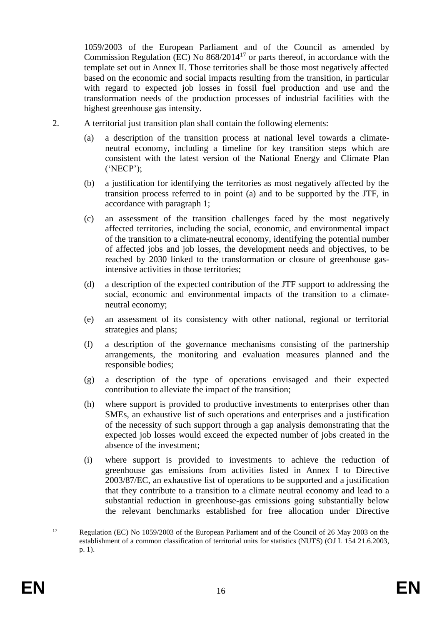1059/2003 of the European Parliament and of the Council as amended by Commission Regulation (EC) No 868/2014<sup>17</sup> or parts thereof, in accordance with the template set out in Annex II. Those territories shall be those most negatively affected based on the economic and social impacts resulting from the transition, in particular with regard to expected job losses in fossil fuel production and use and the transformation needs of the production processes of industrial facilities with the highest greenhouse gas intensity.

- 2. A territorial just transition plan shall contain the following elements:
	- (a) a description of the transition process at national level towards a climateneutral economy, including a timeline for key transition steps which are consistent with the latest version of the National Energy and Climate Plan ('NECP');
	- (b) a justification for identifying the territories as most negatively affected by the transition process referred to in point (a) and to be supported by the JTF, in accordance with paragraph 1;
	- (c) an assessment of the transition challenges faced by the most negatively affected territories, including the social, economic, and environmental impact of the transition to a climate-neutral economy, identifying the potential number of affected jobs and job losses, the development needs and objectives, to be reached by 2030 linked to the transformation or closure of greenhouse gasintensive activities in those territories;
	- (d) a description of the expected contribution of the JTF support to addressing the social, economic and environmental impacts of the transition to a climateneutral economy;
	- (e) an assessment of its consistency with other national, regional or territorial strategies and plans;
	- (f) a description of the governance mechanisms consisting of the partnership arrangements, the monitoring and evaluation measures planned and the responsible bodies;
	- (g) a description of the type of operations envisaged and their expected contribution to alleviate the impact of the transition;
	- (h) where support is provided to productive investments to enterprises other than SMEs, an exhaustive list of such operations and enterprises and a justification of the necessity of such support through a gap analysis demonstrating that the expected job losses would exceed the expected number of jobs created in the absence of the investment;
	- (i) where support is provided to investments to achieve the reduction of greenhouse gas emissions from activities listed in Annex I to Directive 2003/87/EC, an exhaustive list of operations to be supported and a justification that they contribute to a transition to a climate neutral economy and lead to a substantial reduction in greenhouse-gas emissions going substantially below the relevant benchmarks established for free allocation under Directive

 $17\text{ }$ Regulation (EC) No 1059/2003 of the European Parliament and of the Council of 26 May 2003 on the establishment of a common classification of territorial units for statistics (NUTS) (OJ L 154 21.6.2003, p. 1).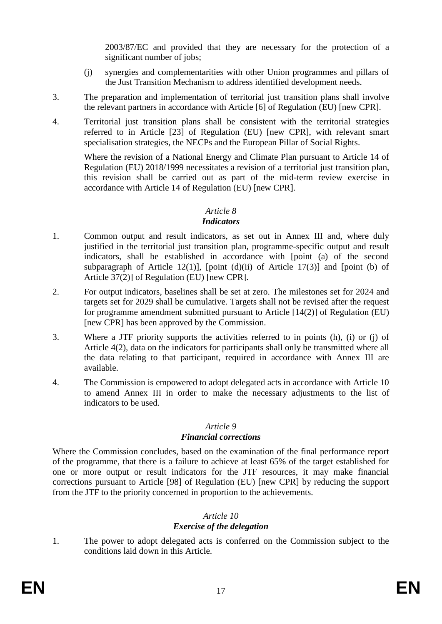2003/87/EC and provided that they are necessary for the protection of a significant number of jobs;

- (j) synergies and complementarities with other Union programmes and pillars of the Just Transition Mechanism to address identified development needs.
- 3. The preparation and implementation of territorial just transition plans shall involve the relevant partners in accordance with Article [6] of Regulation (EU) [new CPR].
- 4. Territorial just transition plans shall be consistent with the territorial strategies referred to in Article [23] of Regulation (EU) [new CPR], with relevant smart specialisation strategies, the NECPs and the European Pillar of Social Rights.

Where the revision of a National Energy and Climate Plan pursuant to Article 14 of Regulation (EU) 2018/1999 necessitates a revision of a territorial just transition plan, this revision shall be carried out as part of the mid-term review exercise in accordance with Article 14 of Regulation (EU) [new CPR].

### *Article 8*

#### *Indicators*

- 1. Common output and result indicators, as set out in Annex III and, where duly justified in the territorial just transition plan, programme-specific output and result indicators, shall be established in accordance with [point (a) of the second subparagraph of Article 12(1)], [point (d)(ii) of Article 17(3)] and [point (b) of Article 37(2)] of Regulation (EU) [new CPR].
- 2. For output indicators, baselines shall be set at zero. The milestones set for 2024 and targets set for 2029 shall be cumulative. Targets shall not be revised after the request for programme amendment submitted pursuant to Article [14(2)] of Regulation (EU) [new CPR] has been approved by the Commission.
- 3. Where a JTF priority supports the activities referred to in points (h), (i) or (j) of Article 4(2), data on the indicators for participants shall only be transmitted where all the data relating to that participant, required in accordance with Annex III are available.
- 4. The Commission is empowered to adopt delegated acts in accordance with Article 10 to amend Annex III in order to make the necessary adjustments to the list of indicators to be used.

#### *Article 9*

## *Financial corrections*

Where the Commission concludes, based on the examination of the final performance report of the programme, that there is a failure to achieve at least 65% of the target established for one or more output or result indicators for the JTF resources, it may make financial corrections pursuant to Article [98] of Regulation (EU) [new CPR] by reducing the support from the JTF to the priority concerned in proportion to the achievements.

## *Article 10*

## *Exercise of the delegation*

1. The power to adopt delegated acts is conferred on the Commission subject to the conditions laid down in this Article.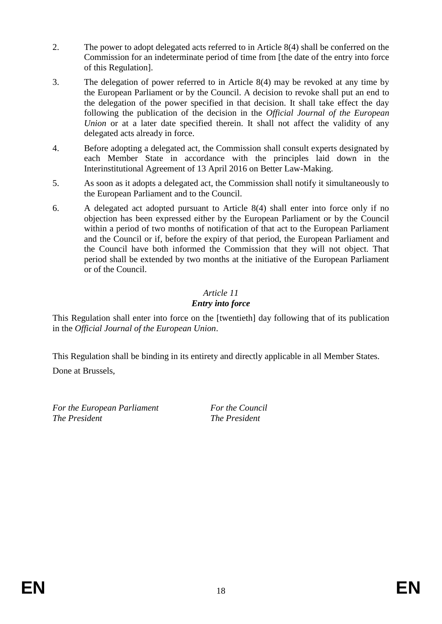- 2. The power to adopt delegated acts referred to in Article 8(4) shall be conferred on the Commission for an indeterminate period of time from [the date of the entry into force of this Regulation].
- 3. The delegation of power referred to in Article 8(4) may be revoked at any time by the European Parliament or by the Council. A decision to revoke shall put an end to the delegation of the power specified in that decision. It shall take effect the day following the publication of the decision in the *Official Journal of the European Union* or at a later date specified therein. It shall not affect the validity of any delegated acts already in force.
- 4. Before adopting a delegated act, the Commission shall consult experts designated by each Member State in accordance with the principles laid down in the Interinstitutional Agreement of 13 April 2016 on Better Law-Making.
- 5. As soon as it adopts a delegated act, the Commission shall notify it simultaneously to the European Parliament and to the Council.
- 6. A delegated act adopted pursuant to Article 8(4) shall enter into force only if no objection has been expressed either by the European Parliament or by the Council within a period of two months of notification of that act to the European Parliament and the Council or if, before the expiry of that period, the European Parliament and the Council have both informed the Commission that they will not object. That period shall be extended by two months at the initiative of the European Parliament or of the Council.

## *Article 11 Entry into force*

This Regulation shall enter into force on the [twentieth] day following that of its publication in the *Official Journal of the European Union*.

This Regulation shall be binding in its entirety and directly applicable in all Member States.

Done at Brussels,

*For the European Parliament For the Council The President The President*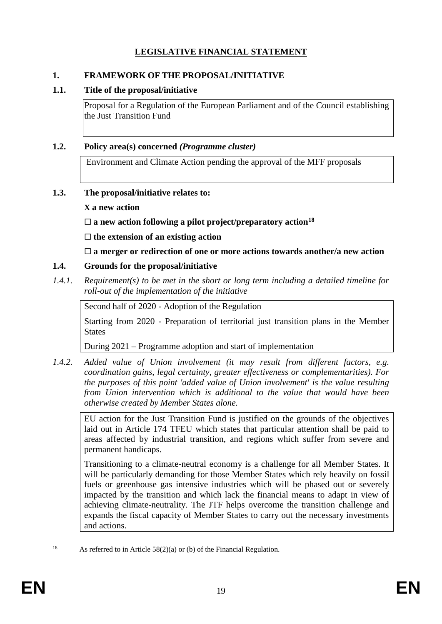## **LEGISLATIVE FINANCIAL STATEMENT**

### **1. FRAMEWORK OF THE PROPOSAL/INITIATIVE**

### **1.1. Title of the proposal/initiative**

Proposal for a Regulation of the European Parliament and of the Council establishing the Just Transition Fund

### **1.2. Policy area(s) concerned** *(Programme cluster)*

Environment and Climate Action pending the approval of the MFF proposals

### **1.3. The proposal/initiative relates to:**

### **X a new action**

**a new action following a pilot project/preparatory action<sup>18</sup>**

**the extension of an existing action**

**a merger or redirection of one or more actions towards another/a new action**

## **1.4. Grounds for the proposal/initiative**

*1.4.1. Requirement(s) to be met in the short or long term including a detailed timeline for roll-out of the implementation of the initiative*

Second half of 2020 - Adoption of the Regulation

Starting from 2020 - Preparation of territorial just transition plans in the Member States

During 2021 – Programme adoption and start of implementation

*1.4.2. Added value of Union involvement (it may result from different factors, e.g. coordination gains, legal certainty, greater effectiveness or complementarities). For the purposes of this point 'added value of Union involvement' is the value resulting from Union intervention which is additional to the value that would have been otherwise created by Member States alone.*

EU action for the Just Transition Fund is justified on the grounds of the objectives laid out in Article 174 TFEU which states that particular attention shall be paid to areas affected by industrial transition, and regions which suffer from severe and permanent handicaps.

Transitioning to a climate-neutral economy is a challenge for all Member States. It will be particularly demanding for those Member States which rely heavily on fossil fuels or greenhouse gas intensive industries which will be phased out or severely impacted by the transition and which lack the financial means to adapt in view of achieving climate-neutrality. The JTF helps overcome the transition challenge and expands the fiscal capacity of Member States to carry out the necessary investments and actions.

 $18\,$ As referred to in Article  $58(2)(a)$  or (b) of the Financial Regulation.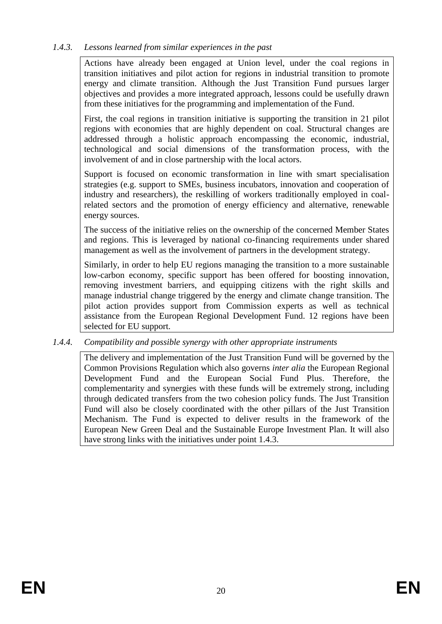## *1.4.3. Lessons learned from similar experiences in the past*

Actions have already been engaged at Union level, under the coal regions in transition initiatives and pilot action for regions in industrial transition to promote energy and climate transition. Although the Just Transition Fund pursues larger objectives and provides a more integrated approach, lessons could be usefully drawn from these initiatives for the programming and implementation of the Fund.

First, the coal regions in transition initiative is supporting the transition in 21 pilot regions with economies that are highly dependent on coal. Structural changes are addressed through a holistic approach encompassing the economic, industrial, technological and social dimensions of the transformation process, with the involvement of and in close partnership with the local actors.

Support is focused on economic transformation in line with smart specialisation strategies (e.g. support to SMEs, business incubators, innovation and cooperation of industry and researchers), the reskilling of workers traditionally employed in coalrelated sectors and the promotion of energy efficiency and alternative, renewable energy sources.

The success of the initiative relies on the ownership of the concerned Member States and regions. This is leveraged by national co-financing requirements under shared management as well as the involvement of partners in the development strategy.

Similarly, in order to help EU regions managing the transition to a more sustainable low-carbon economy, specific support has been offered for boosting innovation, removing investment barriers, and equipping citizens with the right skills and manage industrial change triggered by the energy and climate change transition. The pilot action provides support from Commission experts as well as technical assistance from the European Regional Development Fund. 12 regions have been selected for EU support.

## *1.4.4. Compatibility and possible synergy with other appropriate instruments*

The delivery and implementation of the Just Transition Fund will be governed by the Common Provisions Regulation which also governs *inter alia* the European Regional Development Fund and the European Social Fund Plus. Therefore, the complementarity and synergies with these funds will be extremely strong, including through dedicated transfers from the two cohesion policy funds. The Just Transition Fund will also be closely coordinated with the other pillars of the Just Transition Mechanism. The Fund is expected to deliver results in the framework of the European New Green Deal and the Sustainable Europe Investment Plan. It will also have strong links with the initiatives under point 1.4.3.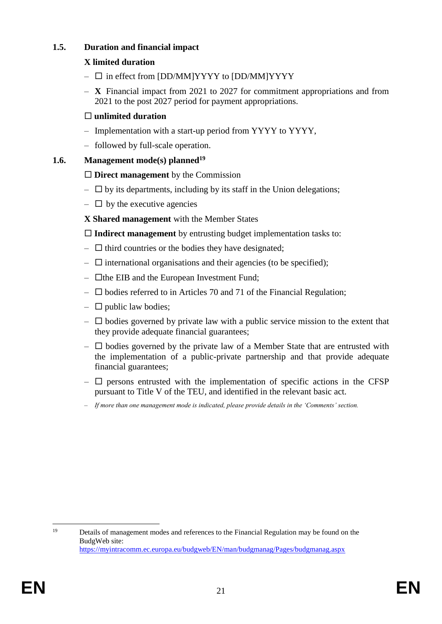## **1.5. Duration and financial impact**

## **X limited duration**

- $\square$  in effect from [DD/MM]YYYY to [DD/MM]YYYY
- **X** Financial impact from 2021 to 2027 for commitment appropriations and from 2021 to the post 2027 period for payment appropriations.

## **unlimited duration**

- Implementation with a start-up period from YYYY to YYYY,
- followed by full-scale operation.

## **1.6. Management mode(s) planned<sup>19</sup>**

## **Direct management** by the Commission

- $\Box$  by its departments, including by its staff in the Union delegations;
- $\Box$  by the executive agencies

**X Shared management** with the Member States

**Indirect management** by entrusting budget implementation tasks to:

- $\Box$  third countries or the bodies they have designated;
- $\Box$  international organisations and their agencies (to be specified);
- $\Box$  the EIB and the European Investment Fund;
- $\square$  bodies referred to in Articles 70 and 71 of the Financial Regulation;
- $\Box$  public law bodies;
- $\Box$  bodies governed by private law with a public service mission to the extent that they provide adequate financial guarantees;
- $\Box$  bodies governed by the private law of a Member State that are entrusted with the implementation of a public-private partnership and that provide adequate financial guarantees;
- $\Box$  persons entrusted with the implementation of specific actions in the CFSP pursuant to Title V of the TEU, and identified in the relevant basic act.
- *If more than one management mode is indicated, please provide details in the 'Comments' section.*

 $19$ Details of management modes and references to the Financial Regulation may be found on the BudgWeb site: <https://myintracomm.ec.europa.eu/budgweb/EN/man/budgmanag/Pages/budgmanag.aspx>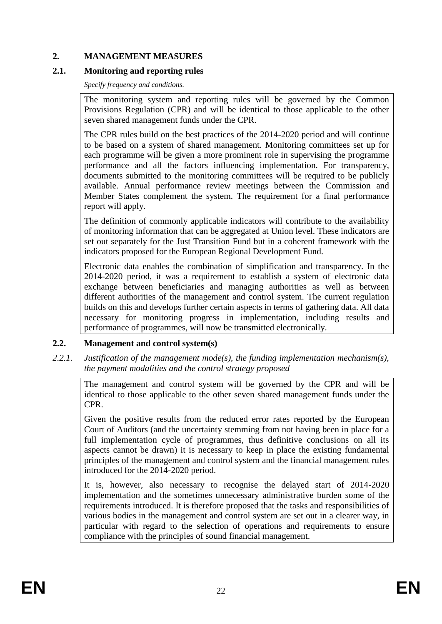## **2. MANAGEMENT MEASURES**

## **2.1. Monitoring and reporting rules**

*Specify frequency and conditions.*

The monitoring system and reporting rules will be governed by the Common Provisions Regulation (CPR) and will be identical to those applicable to the other seven shared management funds under the CPR.

The CPR rules build on the best practices of the 2014-2020 period and will continue to be based on a system of shared management. Monitoring committees set up for each programme will be given a more prominent role in supervising the programme performance and all the factors influencing implementation. For transparency, documents submitted to the monitoring committees will be required to be publicly available. Annual performance review meetings between the Commission and Member States complement the system. The requirement for a final performance report will apply.

The definition of commonly applicable indicators will contribute to the availability of monitoring information that can be aggregated at Union level. These indicators are set out separately for the Just Transition Fund but in a coherent framework with the indicators proposed for the European Regional Development Fund.

Electronic data enables the combination of simplification and transparency. In the 2014-2020 period, it was a requirement to establish a system of electronic data exchange between beneficiaries and managing authorities as well as between different authorities of the management and control system. The current regulation builds on this and develops further certain aspects in terms of gathering data. All data necessary for monitoring progress in implementation, including results and performance of programmes, will now be transmitted electronically.

## **2.2. Management and control system(s)**

*2.2.1. Justification of the management mode(s), the funding implementation mechanism(s), the payment modalities and the control strategy proposed*

The management and control system will be governed by the CPR and will be identical to those applicable to the other seven shared management funds under the CPR.

Given the positive results from the reduced error rates reported by the European Court of Auditors (and the uncertainty stemming from not having been in place for a full implementation cycle of programmes, thus definitive conclusions on all its aspects cannot be drawn) it is necessary to keep in place the existing fundamental principles of the management and control system and the financial management rules introduced for the 2014-2020 period.

It is, however, also necessary to recognise the delayed start of 2014-2020 implementation and the sometimes unnecessary administrative burden some of the requirements introduced. It is therefore proposed that the tasks and responsibilities of various bodies in the management and control system are set out in a clearer way, in particular with regard to the selection of operations and requirements to ensure compliance with the principles of sound financial management.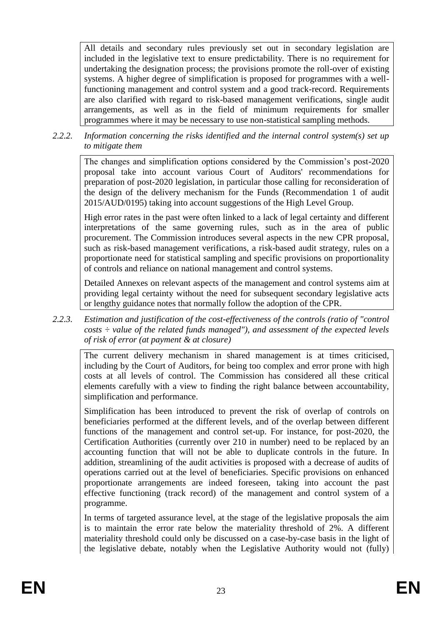All details and secondary rules previously set out in secondary legislation are included in the legislative text to ensure predictability. There is no requirement for undertaking the designation process; the provisions promote the roll-over of existing systems. A higher degree of simplification is proposed for programmes with a wellfunctioning management and control system and a good track-record. Requirements are also clarified with regard to risk-based management verifications, single audit arrangements, as well as in the field of minimum requirements for smaller programmes where it may be necessary to use non-statistical sampling methods.

### *2.2.2. Information concerning the risks identified and the internal control system(s) set up to mitigate them*

The changes and simplification options considered by the Commission's post-2020 proposal take into account various Court of Auditors' recommendations for preparation of post-2020 legislation, in particular those calling for reconsideration of the design of the delivery mechanism for the Funds (Recommendation 1 of audit 2015/AUD/0195) taking into account suggestions of the High Level Group.

High error rates in the past were often linked to a lack of legal certainty and different interpretations of the same governing rules, such as in the area of public procurement. The Commission introduces several aspects in the new CPR proposal, such as risk-based management verifications, a risk-based audit strategy, rules on a proportionate need for statistical sampling and specific provisions on proportionality of controls and reliance on national management and control systems.

Detailed Annexes on relevant aspects of the management and control systems aim at providing legal certainty without the need for subsequent secondary legislative acts or lengthy guidance notes that normally follow the adoption of the CPR.

*2.2.3. Estimation and justification of the cost-effectiveness of the controls (ratio of "control costs ÷ value of the related funds managed"), and assessment of the expected levels of risk of error (at payment & at closure)* 

The current delivery mechanism in shared management is at times criticised, including by the Court of Auditors, for being too complex and error prone with high costs at all levels of control. The Commission has considered all these critical elements carefully with a view to finding the right balance between accountability, simplification and performance.

Simplification has been introduced to prevent the risk of overlap of controls on beneficiaries performed at the different levels, and of the overlap between different functions of the management and control set-up. For instance, for post-2020, the Certification Authorities (currently over 210 in number) need to be replaced by an accounting function that will not be able to duplicate controls in the future. In addition, streamlining of the audit activities is proposed with a decrease of audits of operations carried out at the level of beneficiaries. Specific provisions on enhanced proportionate arrangements are indeed foreseen, taking into account the past effective functioning (track record) of the management and control system of a programme.

In terms of targeted assurance level, at the stage of the legislative proposals the aim is to maintain the error rate below the materiality threshold of 2%. A different materiality threshold could only be discussed on a case-by-case basis in the light of the legislative debate, notably when the Legislative Authority would not (fully)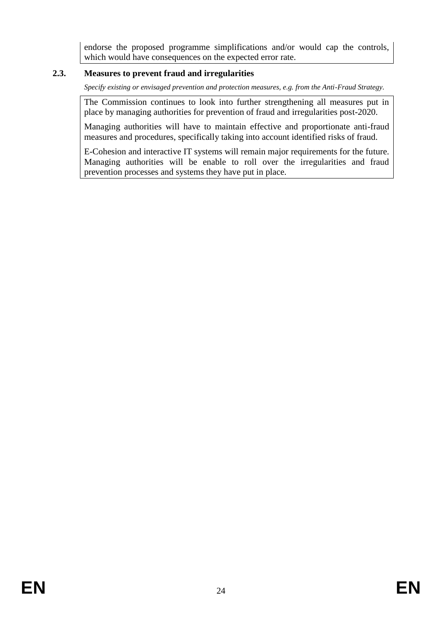endorse the proposed programme simplifications and/or would cap the controls, which would have consequences on the expected error rate.

## **2.3. Measures to prevent fraud and irregularities**

*Specify existing or envisaged prevention and protection measures, e.g. from the Anti-Fraud Strategy.*

The Commission continues to look into further strengthening all measures put in place by managing authorities for prevention of fraud and irregularities post-2020.

Managing authorities will have to maintain effective and proportionate anti-fraud measures and procedures, specifically taking into account identified risks of fraud.

E-Cohesion and interactive IT systems will remain major requirements for the future. Managing authorities will be enable to roll over the irregularities and fraud prevention processes and systems they have put in place.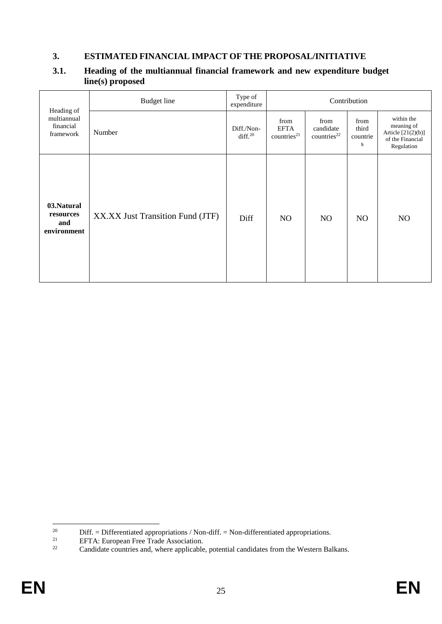## **3. ESTIMATED FINANCIAL IMPACT OF THE PROPOSAL/INITIATIVE**

|                                                     | <b>Budget</b> line               | Type of<br>expenditure            | Contribution                                   |                                              |                                |                                                                                    |  |  |
|-----------------------------------------------------|----------------------------------|-----------------------------------|------------------------------------------------|----------------------------------------------|--------------------------------|------------------------------------------------------------------------------------|--|--|
| Heading of<br>multiannual<br>financial<br>framework | Number                           | Diff./Non-<br>diff. <sup>20</sup> | from<br><b>EFTA</b><br>countries <sup>21</sup> | from<br>candidate<br>countries <sup>22</sup> | from<br>third<br>countrie<br>S | within the<br>meaning of<br>Article $[21(2)(b)]$<br>of the Financial<br>Regulation |  |  |
| 03.Natural<br>resources<br>and<br>environment       | XX.XX Just Transition Fund (JTF) | Diff                              | NO                                             | N <sub>O</sub>                               | NO                             | N <sub>O</sub>                                                                     |  |  |

### **3.1. Heading of the multiannual financial framework and new expenditure budget line(s) proposed**

 $20\,$ <sup>20</sup> Diff. = Differentiated appropriations / Non-diff. = Non-differentiated appropriations.<br>
EETA: European Free Trade Association

<sup>&</sup>lt;sup>21</sup> EFTA: European Free Trade Association.<br> **EFTA:** Candidate countries and where applicable

Candidate countries and, where applicable, potential candidates from the Western Balkans.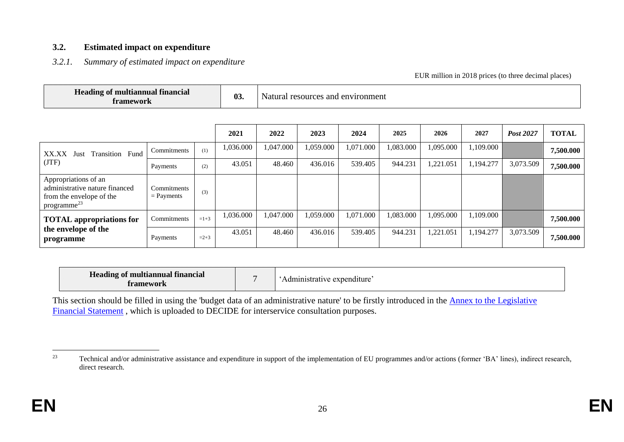#### **3.2. Estimated impact on expenditure**

### *3.2.1. Summary of estimated impact on expenditure*

EUR million in 2018 prices (to three decimal places)

| $-1$<br>Heading of multiannual financial<br>tramework | 03 | ъ,<br>I resources and environment<br>Natural |
|-------------------------------------------------------|----|----------------------------------------------|
|-------------------------------------------------------|----|----------------------------------------------|

|                                                                                                               |                             |        | 2021      | 2022      | 2023      | 2024      | 2025      | 2026      | 2027      | Post 2027 | <b>TOTAL</b> |
|---------------------------------------------------------------------------------------------------------------|-----------------------------|--------|-----------|-----------|-----------|-----------|-----------|-----------|-----------|-----------|--------------|
| <b>Transition Fund</b><br>XX.XX<br>Just<br>(TTF)                                                              | Commitments                 | (1)    | 1,036.000 | 1,047.000 | 1,059.000 | 1,071.000 | 1,083.000 | 1,095.000 | 1,109.000 |           | 7,500.000    |
|                                                                                                               | Payments                    | (2)    | 43.051    | 48.460    | 436.016   | 539.405   | 944.231   | ,221.051  | 1,194.277 | 3,073.509 | 7,500.000    |
| Appropriations of an<br>administrative nature financed<br>from the envelope of the<br>programme <sup>23</sup> | Commitments<br>$=$ Payments | (3)    |           |           |           |           |           |           |           |           |              |
| <b>TOTAL</b> appropriations for<br>the envelope of the<br>programme                                           | Commitments                 | $=1+3$ | 1,036.000 | 1,047.000 | 1,059.000 | 1,071.000 | 1,083.000 | 095.000   | 1,109.000 |           | 7,500.000    |
|                                                                                                               | Payments                    | $=2+3$ | 43.051    | 48.460    | 436.016   | 539.405   | 944.231   | 1,221.051 | 1,194.277 | 3,073.509 | 7,500.000    |

| Heading of multiannual financial<br>tramework |  | Administrative expenditure: |
|-----------------------------------------------|--|-----------------------------|
|-----------------------------------------------|--|-----------------------------|

This section should be filled in using the 'budget data of an administrative nature' to be firstly introduced in the **Annex to the Legislative** [Financial Statement](https://myintracomm.ec.europa.eu/budgweb/EN/bud/mff/Pages/mff-post-2020.aspx), which is uploaded to DECIDE for interservice consultation purposes.

<sup>23</sup> Technical and/or administrative assistance and expenditure in support of the implementation of EU programmes and/or actions (former 'BA' lines), indirect research, direct research.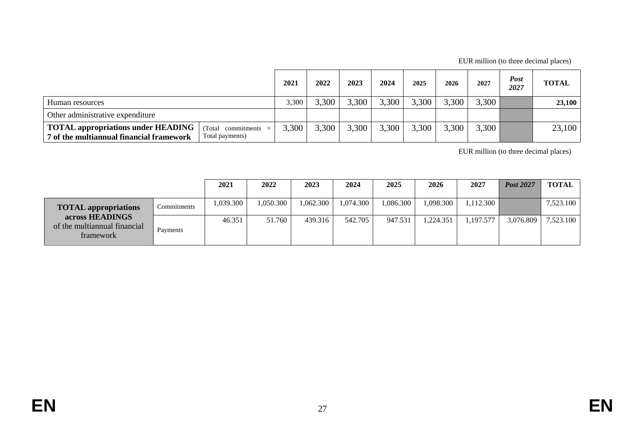EUR million (to three decimal places)

|                                                                                       |                                                     | 2021  | 2022  | 2023  | 2024  | 2025  | 2026  | 2027  | <b>Post</b><br>2027 | <b>TOTAL</b> |
|---------------------------------------------------------------------------------------|-----------------------------------------------------|-------|-------|-------|-------|-------|-------|-------|---------------------|--------------|
| Human resources                                                                       |                                                     |       | 3,300 | 3,300 | 3,300 | 3,300 | 3,300 | 3,300 |                     | 23,100       |
| Other administrative expenditure                                                      |                                                     |       |       |       |       |       |       |       |                     |              |
| <b>TOTAL appropriations under HEADING</b><br>7 of the multiannual financial framework | (Total)<br>$\text{commiments}$ =<br>Total payments) | 3,300 | 3.300 | 3,300 | 3,300 | 3,300 | 3,300 | 3,300 |                     | 23,100       |

EUR million (to three decimal places)

|                                                              |             | 2021      | 2022      | 2023      | 2024     | 2025      | 2026      | 2027      | <b>Post 2027</b> | <b>TOTAL</b> |
|--------------------------------------------------------------|-------------|-----------|-----------|-----------|----------|-----------|-----------|-----------|------------------|--------------|
| <b>TOTAL appropriations</b>                                  | Commitments | 1.039.300 | 1.050.300 | 1.062.300 | ,074.300 | 1,086.300 | 1,098.300 | 1.112.300 |                  | 7,523.100    |
| across HEADINGS<br>of the multiannual financial<br>framework | Payments    | 46.351    | 51.760    | 439.316   | 542.705  | 947.531   | 1.224.351 | 1,197.577 | 3,076.809        | 7,523.100    |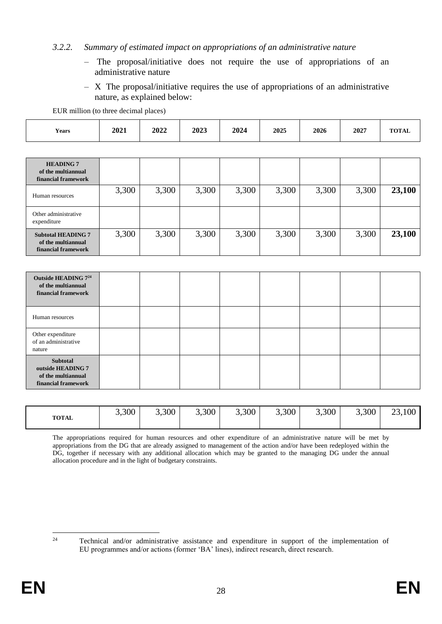#### *3.2.2. Summary of estimated impact on appropriations of an administrative nature*

- The proposal/initiative does not require the use of appropriations of an administrative nature
- X The proposal/initiative requires the use of appropriations of an administrative nature, as explained below:

EUR million (to three decimal places)

| <b>HEADING 7</b><br>of the multiannual<br>financial framework          |       |       |       |       |       |       |       |        |
|------------------------------------------------------------------------|-------|-------|-------|-------|-------|-------|-------|--------|
| Human resources                                                        | 3,300 | 3,300 | 3,300 | 3,300 | 3,300 | 3,300 | 3,300 | 23,100 |
| Other administrative<br>expenditure                                    |       |       |       |       |       |       |       |        |
| <b>Subtotal HEADING 7</b><br>of the multiannual<br>financial framework | 3,300 | 3,300 | 3,300 | 3,300 | 3,300 | 3,300 | 3,300 | 23,100 |

| Outside HEADING 7 <sup>24</sup><br>of the multiannual<br>financial framework |  |  |  |  |
|------------------------------------------------------------------------------|--|--|--|--|
| Human resources                                                              |  |  |  |  |
| Other expenditure<br>of an administrative<br>nature                          |  |  |  |  |
| Subtotal<br>outside HEADING 7<br>of the multiannual<br>financial framework   |  |  |  |  |

| <b>TOTAL</b> | 3,300 | 3,300 | 3,300 | 3,300 | 3,300<br>$\sim$ | 3,300 | 3,300 | 23,100 |
|--------------|-------|-------|-------|-------|-----------------|-------|-------|--------|
|              |       |       |       |       |                 |       |       |        |

The appropriations required for human resources and other expenditure of an administrative nature will be met by appropriations from the DG that are already assigned to management of the action and/or have been redeployed within the DG, together if necessary with any additional allocation which may be granted to the managing DG under the annual allocation procedure and in the light of budgetary constraints.

 $\overline{24}$ Technical and/or administrative assistance and expenditure in support of the implementation of EU programmes and/or actions (former 'BA' lines), indirect research, direct research.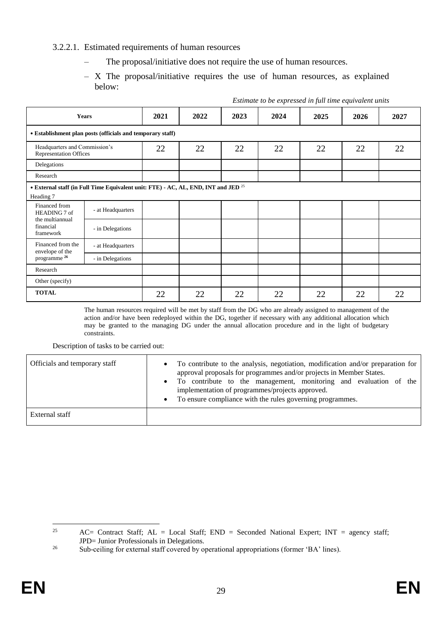#### 3.2.2.1. Estimated requirements of human resources

- The proposal/initiative does not require the use of human resources.
- X The proposal/initiative requires the use of human resources, as explained below:

| <b>Years</b>                                               |                                                                                               | 2021 | 2022 | 2023 | 2024 | 2025 | 2026 | 2027 |
|------------------------------------------------------------|-----------------------------------------------------------------------------------------------|------|------|------|------|------|------|------|
| • Establishment plan posts (officials and temporary staff) |                                                                                               |      |      |      |      |      |      |      |
|                                                            | Headquarters and Commission's<br><b>Representation Offices</b>                                |      | 22   | 22   | 22   | 22   | 22   | 22   |
| Delegations                                                |                                                                                               |      |      |      |      |      |      |      |
| Research                                                   |                                                                                               |      |      |      |      |      |      |      |
| Heading 7                                                  | • External staff (in Full Time Equivalent unit: FTE) - AC, AL, END, INT and JED <sup>25</sup> |      |      |      |      |      |      |      |
| Financed from<br>HEADING 7 of                              | - at Headquarters                                                                             |      |      |      |      |      |      |      |
| the multiannual<br>financial<br>framework                  | - in Delegations                                                                              |      |      |      |      |      |      |      |
| Financed from the<br>envelope of the                       | - at Headquarters                                                                             |      |      |      |      |      |      |      |
| programme <sup>26</sup>                                    | - in Delegations                                                                              |      |      |      |      |      |      |      |
| Research                                                   |                                                                                               |      |      |      |      |      |      |      |
| Other (specify)                                            |                                                                                               |      |      |      |      |      |      |      |
| <b>TOTAL</b>                                               |                                                                                               | 22   | 22   | 22   | 22   | 22   | 22   | 22   |

*Estimate to be expressed in full time equivalent units*

The human resources required will be met by staff from the DG who are already assigned to management of the action and/or have been redeployed within the DG, together if necessary with any additional allocation which may be granted to the managing DG under the annual allocation procedure and in the light of budgetary constraints.

Description of tasks to be carried out:

| Officials and temporary staff | To contribute to the analysis, negotiation, modification and/or preparation for<br>$\bullet$<br>approval proposals for programmes and/or projects in Member States.                                         |
|-------------------------------|-------------------------------------------------------------------------------------------------------------------------------------------------------------------------------------------------------------|
|                               | To contribute to the management, monitoring and evaluation of the<br>$\bullet$<br>implementation of programmes/projects approved.<br>To ensure compliance with the rules governing programmes.<br>$\bullet$ |
| External staff                |                                                                                                                                                                                                             |

<sup>25</sup> AC= Contract Staff; AL = Local Staff; END = Seconded National Expert; INT = agency staff; JPD= Junior Professionals in Delegations.

<sup>&</sup>lt;sup>26</sup> Sub-ceiling for external staff covered by operational appropriations (former 'BA' lines).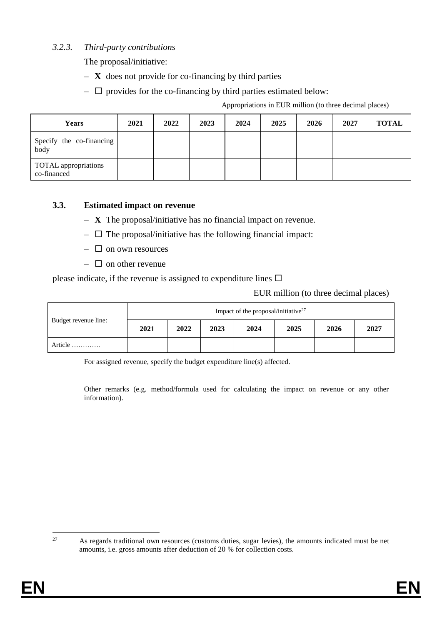### *3.2.3. Third-party contributions*

The proposal/initiative:

- **X** does not provide for co-financing by third parties
- $\Box$  provides for the co-financing by third parties estimated below:

Appropriations in EUR million (to three decimal places)

| <b>Years</b>                        | 2021 | 2022 | 2023 | 2024 | 2025 | 2026 | 2027 | <b>TOTAL</b> |
|-------------------------------------|------|------|------|------|------|------|------|--------------|
| Specify the co-financing<br>body    |      |      |      |      |      |      |      |              |
| TOTAL appropriations<br>co-financed |      |      |      |      |      |      |      |              |

#### **3.3. Estimated impact on revenue**

- **X** The proposal/initiative has no financial impact on revenue.
- $\Box$  The proposal/initiative has the following financial impact:
- $\Box$  on own resources
- $\Box$  on other revenue

please indicate, if the revenue is assigned to expenditure lines  $\Box$ 

|                      | Impact of the proposal/initiative $27$ |      |      |      |      |      |      |  |
|----------------------|----------------------------------------|------|------|------|------|------|------|--|
| Budget revenue line: | 2021                                   | 2022 | 2023 | 2024 | 2025 | 2026 | 2027 |  |
| Article              |                                        |      |      |      |      |      |      |  |

For assigned revenue, specify the budget expenditure line(s) affected.

Other remarks (e.g. method/formula used for calculating the impact on revenue or any other information).

 $\overline{27}$ 

<sup>27</sup> As regards traditional own resources (customs duties, sugar levies), the amounts indicated must be net amounts, i.e. gross amounts after deduction of 20 % for collection costs.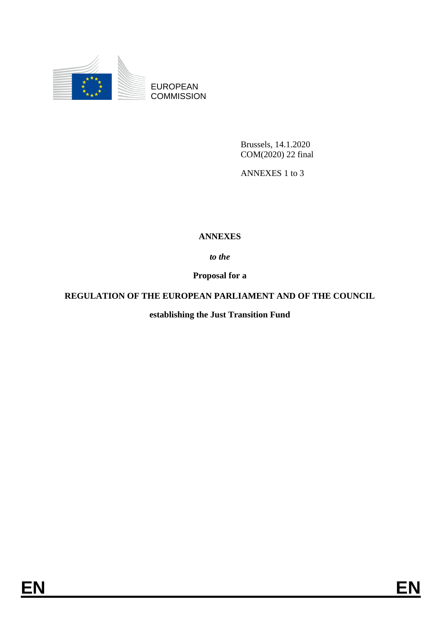

EUROPEAN **COMMISSION** 

> Brussels, 14.1.2020 COM(2020) 22 final

ANNEXES 1 to 3

## **ANNEXES**

*to the* 

**Proposal for a**

## **REGULATION OF THE EUROPEAN PARLIAMENT AND OF THE COUNCIL**

**establishing the Just Transition Fund**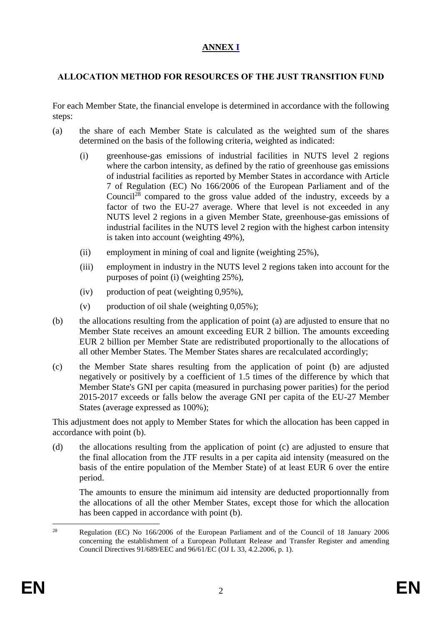## **ANNEX I**

## **ALLOCATION METHOD FOR RESOURCES OF THE JUST TRANSITION FUND**

For each Member State, the financial envelope is determined in accordance with the following steps:

- (a) the share of each Member State is calculated as the weighted sum of the shares determined on the basis of the following criteria, weighted as indicated:
	- (i) greenhouse-gas emissions of industrial facilities in NUTS level 2 regions where the carbon intensity, as defined by the ratio of greenhouse gas emissions of industrial facilities as reported by Member States in accordance with Article 7 of Regulation (EC) No 166/2006 of the European Parliament and of the Council<sup>28</sup> compared to the gross value added of the industry, exceeds by a factor of two the EU-27 average. Where that level is not exceeded in any NUTS level 2 regions in a given Member State, greenhouse-gas emissions of industrial facilites in the NUTS level 2 region with the highest carbon intensity is taken into account (weighting 49%),
	- (ii) employment in mining of coal and lignite (weighting 25%),
	- (iii) employment in industry in the NUTS level 2 regions taken into account for the purposes of point (i) (weighting 25%),
	- (iv) production of peat (weighting 0,95%),
	- (v) production of oil shale (weighting  $0.05\%$ );
- (b) the allocations resulting from the application of point (a) are adjusted to ensure that no Member State receives an amount exceeding EUR 2 billion. The amounts exceeding EUR 2 billion per Member State are redistributed proportionally to the allocations of all other Member States. The Member States shares are recalculated accordingly;
- (c) the Member State shares resulting from the application of point (b) are adjusted negatively or positively by a coefficient of 1.5 times of the difference by which that Member State's GNI per capita (measured in purchasing power parities) for the period 2015-2017 exceeds or falls below the average GNI per capita of the EU-27 Member States (average expressed as 100%);

This adjustment does not apply to Member States for which the allocation has been capped in accordance with point (b).

(d) the allocations resulting from the application of point (c) are adjusted to ensure that the final allocation from the JTF results in a per capita aid intensity (measured on the basis of the entire population of the Member State) of at least EUR 6 over the entire period.

The amounts to ensure the minimum aid intensity are deducted proportionnally from the allocations of all the other Member States, except those for which the allocation has been capped in accordance with point (b).

 $28$ <sup>28</sup> Regulation (EC) No 166/2006 of the European Parliament and of the Council of 18 January 2006 concerning the establishment of a European Pollutant Release and Transfer Register and amending Council Directives 91/689/EEC and 96/61/EC (OJ L 33, 4.2.2006, p. 1).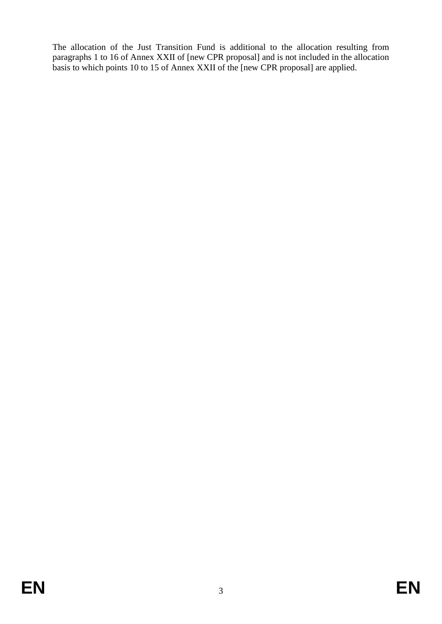The allocation of the Just Transition Fund is additional to the allocation resulting from paragraphs 1 to 16 of Annex XXII of [new CPR proposal] and is not included in the allocation basis to which points 10 to 15 of Annex XXII of the [new CPR proposal] are applied.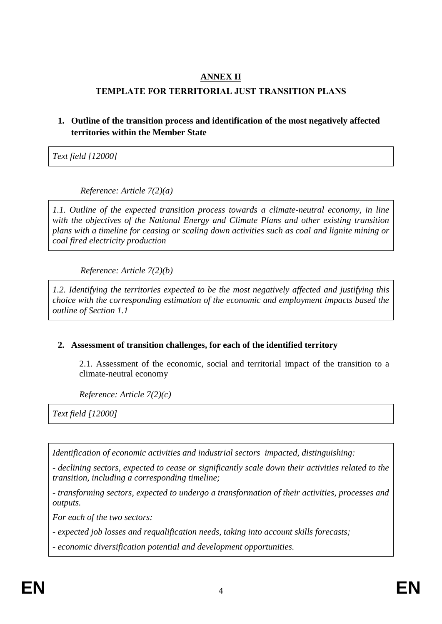## **ANNEX II**

## **TEMPLATE FOR TERRITORIAL JUST TRANSITION PLANS**

## **1. Outline of the transition process and identification of the most negatively affected territories within the Member State**

*Text field [12000]*

*Reference: Article 7(2)(a)*

*1.1. Outline of the expected transition process towards a climate-neutral economy, in line with the objectives of the National Energy and Climate Plans and other existing transition plans with a timeline for ceasing or scaling down activities such as coal and lignite mining or coal fired electricity production* 

*Reference: Article 7(2)(b)*

*1.2. Identifying the territories expected to be the most negatively affected and justifying this choice with the corresponding estimation of the economic and employment impacts based the outline of Section 1.1*

## **2. Assessment of transition challenges, for each of the identified territory**

2.1. Assessment of the economic, social and territorial impact of the transition to a climate-neutral economy

*Reference: Article 7(2)(c)*

*Text field [12000]*

*Identification of economic activities and industrial sectors impacted, distinguishing:*

*- declining sectors, expected to cease or significantly scale down their activities related to the transition, including a corresponding timeline;*

*- transforming sectors, expected to undergo a transformation of their activities, processes and outputs.*

*For each of the two sectors:* 

*- expected job losses and requalification needs, taking into account skills forecasts;*

*- economic diversification potential and development opportunities.*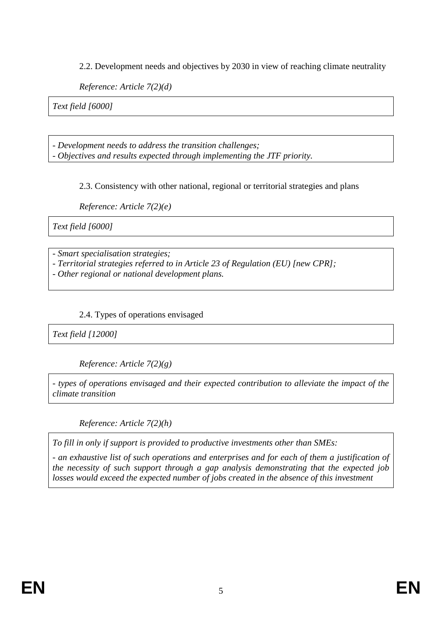2.2. Development needs and objectives by 2030 in view of reaching climate neutrality

*Reference: Article 7(2)(d)*

*Text field [6000]*

- *Development needs to address the transition challenges; - Objectives and results expected through implementing the JTF priority.*

2.3. Consistency with other national, regional or territorial strategies and plans

*Reference: Article 7(2)(e)*

*Text field [6000]*

- *Smart specialisation strategies;*

*- Territorial strategies referred to in Article 23 of Regulation (EU) [new CPR];* 

*- Other regional or national development plans.*

## 2.4. Types of operations envisaged

*Text field [12000]*

*Reference: Article 7(2)(g)*

*- types of operations envisaged and their expected contribution to alleviate the impact of the climate transition* 

*Reference: Article 7(2)(h)*

*To fill in only if support is provided to productive investments other than SMEs:* 

*- an exhaustive list of such operations and enterprises and for each of them a justification of the necessity of such support through a gap analysis demonstrating that the expected job losses would exceed the expected number of jobs created in the absence of this investment*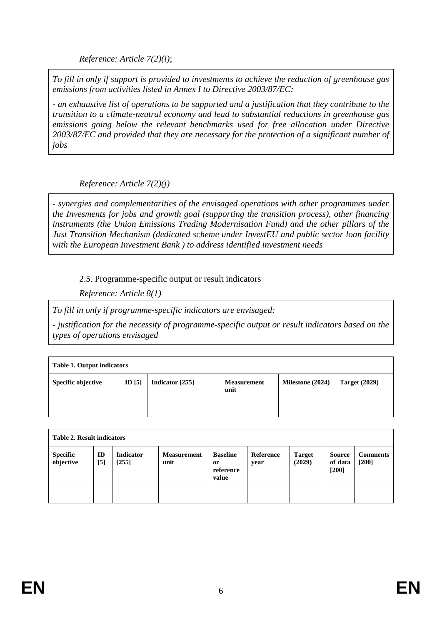*Reference: Article 7(2)(i)*;

*To fill in only if support is provided to investments to achieve the reduction of greenhouse gas emissions from activities listed in Annex I to Directive 2003/87/EC:* 

*- an exhaustive list of operations to be supported and a justification that they contribute to the transition to a climate-neutral economy and lead to substantial reductions in greenhouse gas emissions going below the relevant benchmarks used for free allocation under Directive 2003/87/EC and provided that they are necessary for the protection of a significant number of jobs* 

*Reference: Article 7(2)(j)*

*- synergies and complementarities of the envisaged operations with other programmes under the Invesments for jobs and growth goal (supporting the transition process), other financing instruments (the Union Emissions Trading Modernisation Fund) and the other pillars of the Just Transition Mechanism (dedicated scheme under InvestEU and public sector loan facility with the European Investment Bank ) to address identified investment needs*

2.5. Programme-specific output or result indicators

*Reference: Article 8(1)*

*To fill in only if programme-specific indicators are envisaged:*

*- justification for the necessity of programme-specific output or result indicators based on the types of operations envisaged* 

| <b>Table 1. Output indicators</b> |          |                 |                            |                  |                      |  |
|-----------------------------------|----------|-----------------|----------------------------|------------------|----------------------|--|
| Specific objective                | ID $[5]$ | Indicator [255] | <b>Measurement</b><br>unit | Milestone (2024) | <b>Target (2029)</b> |  |
|                                   |          |                 |                            |                  |                      |  |

| <b>Table 2. Result indicators</b> |             |                           |                            |                                             |                   |                         |                                     |                            |
|-----------------------------------|-------------|---------------------------|----------------------------|---------------------------------------------|-------------------|-------------------------|-------------------------------------|----------------------------|
| <b>Specific</b><br>objective      | ID<br>$[5]$ | <b>Indicator</b><br>[255] | <b>Measurement</b><br>unit | <b>Baseline</b><br>0r<br>reference<br>value | Reference<br>year | <b>Target</b><br>(2029) | <b>Source</b><br>of data<br>$[200]$ | <b>Comments</b><br>$[200]$ |
|                                   |             |                           |                            |                                             |                   |                         |                                     |                            |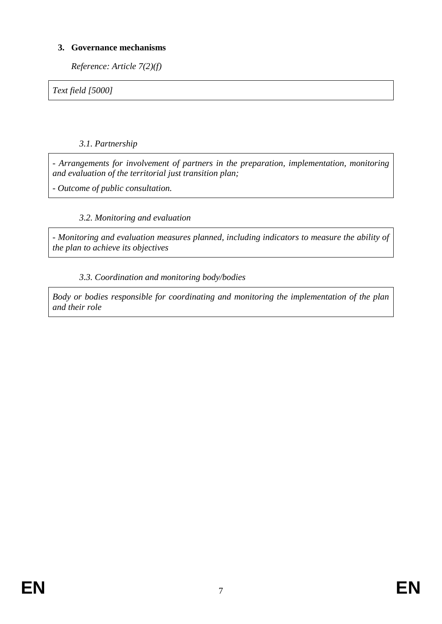## **3. Governance mechanisms**

*Reference: Article 7(2)(f)*

*Text field [5000]*

*3.1. Partnership*

*- Arrangements for involvement of partners in the preparation, implementation, monitoring and evaluation of the territorial just transition plan;*

*- Outcome of public consultation.* 

## *3.2. Monitoring and evaluation*

*- Monitoring and evaluation measures planned, including indicators to measure the ability of the plan to achieve its objectives*

## *3.3. Coordination and monitoring body/bodies*

*Body or bodies responsible for coordinating and monitoring the implementation of the plan and their role*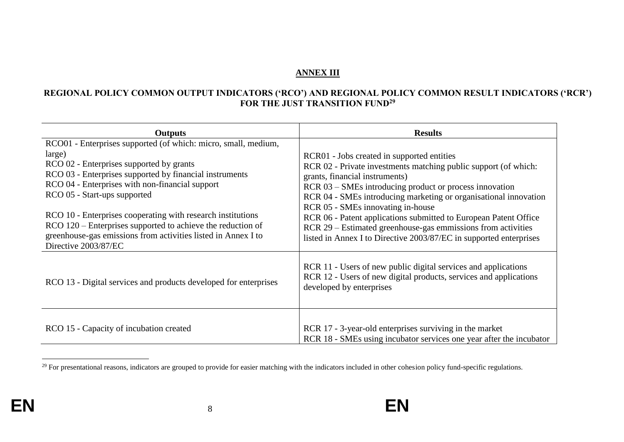#### **ANNEX III**

#### **REGIONAL POLICY COMMON OUTPUT INDICATORS ('RCO') AND REGIONAL POLICY COMMON RESULT INDICATORS ('RCR') FOR THE JUST TRANSITION FUND<sup>29</sup>**

| <b>Outputs</b>                                                                                                                                                                                                      | <b>Results</b>                                                                                                                                                                                                                              |
|---------------------------------------------------------------------------------------------------------------------------------------------------------------------------------------------------------------------|---------------------------------------------------------------------------------------------------------------------------------------------------------------------------------------------------------------------------------------------|
| RCO01 - Enterprises supported (of which: micro, small, medium,                                                                                                                                                      |                                                                                                                                                                                                                                             |
| large)                                                                                                                                                                                                              | RCR01 - Jobs created in supported entities                                                                                                                                                                                                  |
| RCO 02 - Enterprises supported by grants                                                                                                                                                                            | RCR 02 - Private investments matching public support (of which:                                                                                                                                                                             |
| RCO 03 - Enterprises supported by financial instruments                                                                                                                                                             | grants, financial instruments)                                                                                                                                                                                                              |
| RCO 04 - Enterprises with non-financial support                                                                                                                                                                     | RCR 03 – SMEs introducing product or process innovation                                                                                                                                                                                     |
| RCO 05 - Start-ups supported                                                                                                                                                                                        | RCR 04 - SMEs introducing marketing or organisational innovation                                                                                                                                                                            |
| RCO 10 - Enterprises cooperating with research institutions<br>RCO 120 – Enterprises supported to achieve the reduction of<br>greenhouse-gas emissions from activities listed in Annex I to<br>Directive 2003/87/EC | RCR 05 - SMEs innovating in-house<br>RCR 06 - Patent applications submitted to European Patent Office<br>RCR 29 - Estimated greenhouse-gas emmissions from activities<br>listed in Annex I to Directive 2003/87/EC in supported enterprises |
| RCO 13 - Digital services and products developed for enterprises                                                                                                                                                    | RCR 11 - Users of new public digital services and applications<br>RCR 12 - Users of new digital products, services and applications<br>developed by enterprises                                                                             |
| RCO 15 - Capacity of incubation created                                                                                                                                                                             | RCR 17 - 3-year-old enterprises surviving in the market<br>RCR 18 - SMEs using incubator services one year after the incubator                                                                                                              |

 $^{29}$  For presentational reasons, indicators are grouped to provide for easier matching with the indicators included in other cohesion policy fund-specific regulations.

 $\overline{a}$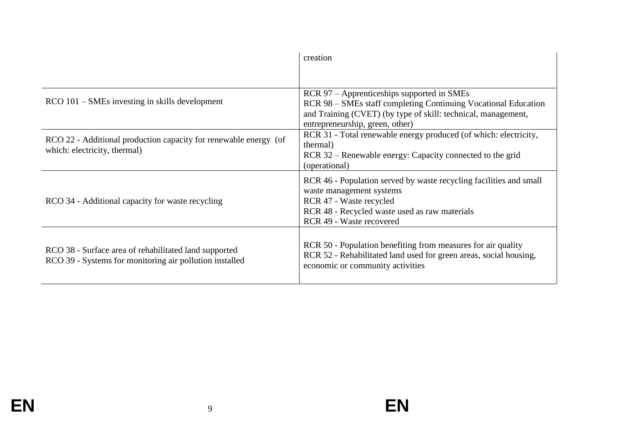|                                                                                                                  | creation                                                                                                                                                                                                         |
|------------------------------------------------------------------------------------------------------------------|------------------------------------------------------------------------------------------------------------------------------------------------------------------------------------------------------------------|
|                                                                                                                  |                                                                                                                                                                                                                  |
| $RCO$ 101 – SMEs investing in skills development                                                                 | RCR 97 – Apprenticeships supported in SMEs<br>RCR 98 – SMEs staff completing Continuing Vocational Education<br>and Training (CVET) (by type of skill: technical, management,<br>entrepreneurship, green, other) |
| RCO 22 - Additional production capacity for renewable energy (of<br>which: electricity, thermal)                 | RCR 31 - Total renewable energy produced (of which: electricity,<br>thermal)<br>RCR 32 – Renewable energy: Capacity connected to the grid<br>(operational)                                                       |
| RCO 34 - Additional capacity for waste recycling                                                                 | RCR 46 - Population served by waste recycling facilities and small<br>waste management systems<br>RCR 47 - Waste recycled<br>RCR 48 - Recycled waste used as raw materials<br>RCR 49 - Waste recovered           |
| RCO 38 - Surface area of rehabilitated land supported<br>RCO 39 - Systems for monitoring air pollution installed | RCR 50 - Population benefiting from measures for air quality<br>RCR 52 - Rehabilitated land used for green areas, social housing,<br>economic or community activities                                            |